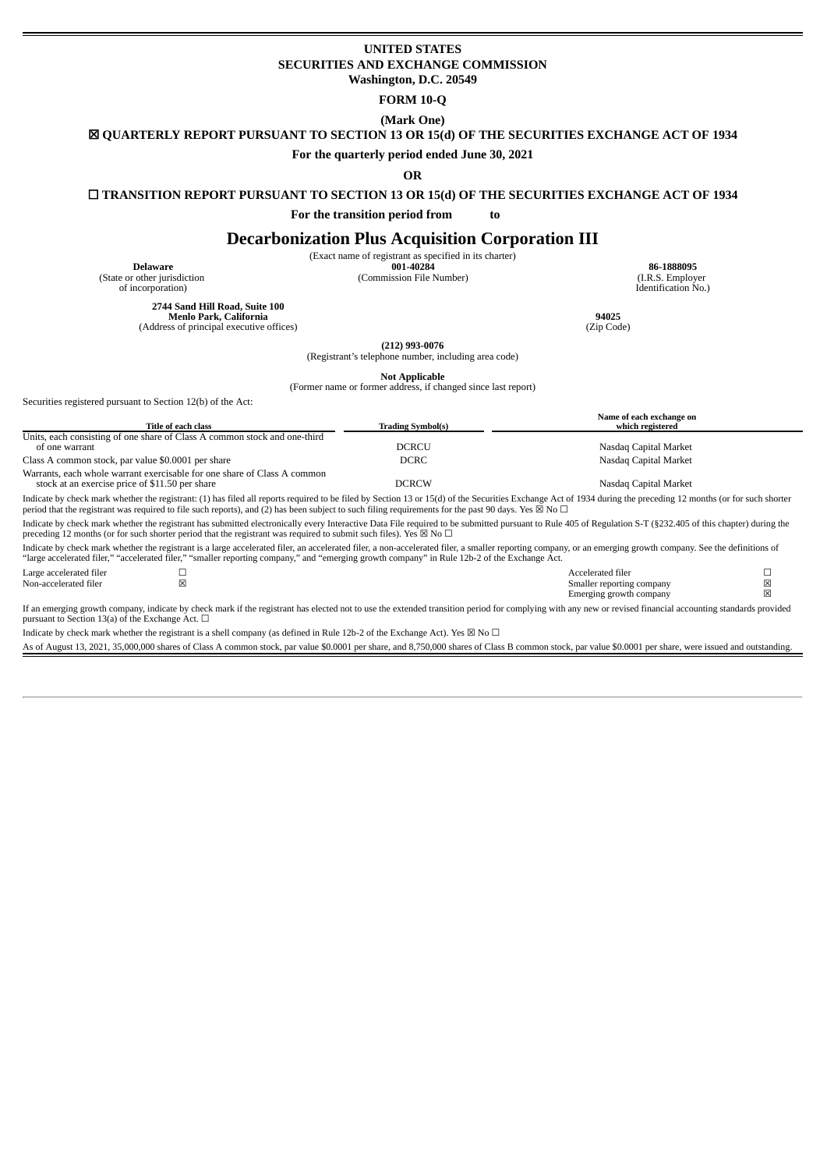## **UNITED STATES SECURITIES AND EXCHANGE COMMISSION Washington, D.C. 20549**

**FORM 10-Q**

# **(Mark One)**

☒ **QUARTERLY REPORT PURSUANT TO SECTION 13 OR 15(d) OF THE SECURITIES EXCHANGE ACT OF 1934**

**For the quarterly period ended June 30, 2021**

**OR**

☐ **TRANSITION REPORT PURSUANT TO SECTION 13 OR 15(d) OF THE SECURITIES EXCHANGE ACT OF 1934**

**For the transition period from to**

## **Decarbonization Plus Acquisition Corporation III**

(Exact name of registrant as specified in its charter)

**Delaware 001-40284 86-1888095** (Commission File Number)

(I.R.S. Employer<br>Identification No.)

of incorporation) **2744 Sand Hill Road, Suite 100**

(State or other jurisdiction

**Menlo Park, California 94025** (Address of principal executive offices)

**(212) 993-0076** (Registrant's telephone number, including area code)

**Not Applicable**

(Former name or former address, if changed since last report)

Securities registered pursuant to Section 12(b) of the Act:

| Title of each class                                                                                                                                                                                             | <b>Trading Symbol(s)</b> | Name of each exchange on<br>which registered |
|-----------------------------------------------------------------------------------------------------------------------------------------------------------------------------------------------------------------|--------------------------|----------------------------------------------|
| Units, each consisting of one share of Class A common stock and one-third                                                                                                                                       |                          |                                              |
| of one warrant                                                                                                                                                                                                  | <b>DCRCU</b>             | Nasdaq Capital Market                        |
| Class A common stock, par value \$0.0001 per share                                                                                                                                                              | DCRC                     | Nasdag Capital Market                        |
| Warrants, each whole warrant exercisable for one share of Class A common<br>stock at an exercise price of \$11.50 per share                                                                                     | <b>DCRCW</b>             | Nasdag Capital Market                        |
| Indicate by check mark whether the registrant: (1) has filed all reports required to be filed by Section 13 or 15(d) of the Securities Exchange Act of 1934 during the preceding 12 months (or for such shorter |                          |                                              |

Indicate by check mark whether the registrant: (1) has filed all reports required to be filed by Section 13 or 15(d) of the Securities Exchange Act of 1934 during the preceding 12 months (or for such shorter period that t Indicate by check mark whether the registrant has submitted electronically every Interactive Data File required to be submitted pursuant to Rule 405 of Regulation S-T (§232.405 of this chapter) during the

preceding 12 months (or for such shorter period that the registrant was required to submit such files). Yes  $\boxtimes$  No  $\Box$ 

Indicate by check mark whether the registrant is a large accelerated filer, an accelerated filer, a non-accelerated filer, a smaller reporting company, or an emerging growth company. See the definitions of<br>"large accelerat

| Large accelerated filer | Accelerated filer                                                                                                                                                                                         |  |
|-------------------------|-----------------------------------------------------------------------------------------------------------------------------------------------------------------------------------------------------------|--|
| Non-accelerated filer   | Smaller reporting company                                                                                                                                                                                 |  |
|                         | Emerging growth company                                                                                                                                                                                   |  |
|                         | If an amerging growth company indicate by check mark if the registrant has elected not to use the extended transition period for complying with any new or revised financial accounting standards provide |  |

If an emerging growth company, indicate by check mark if the registrant has elected not to use the extended transition period for complying with any new or revised financial accounting standards provided pursuant to Section 13(a) of the Exchange Act.  $□$ 

Indicate by check mark whether the registrant is a shell company (as defined in Rule 12b-2 of the Exchange Act). Yes  $\boxtimes$  No  $\Box$ 

As of August 13, 2021, 35,000,000 shares of Class A common stock, par value \$0.0001 per share, and 8,750,000 shares of Class B common stock, par value \$0.0001 per share, were issued and outstanding.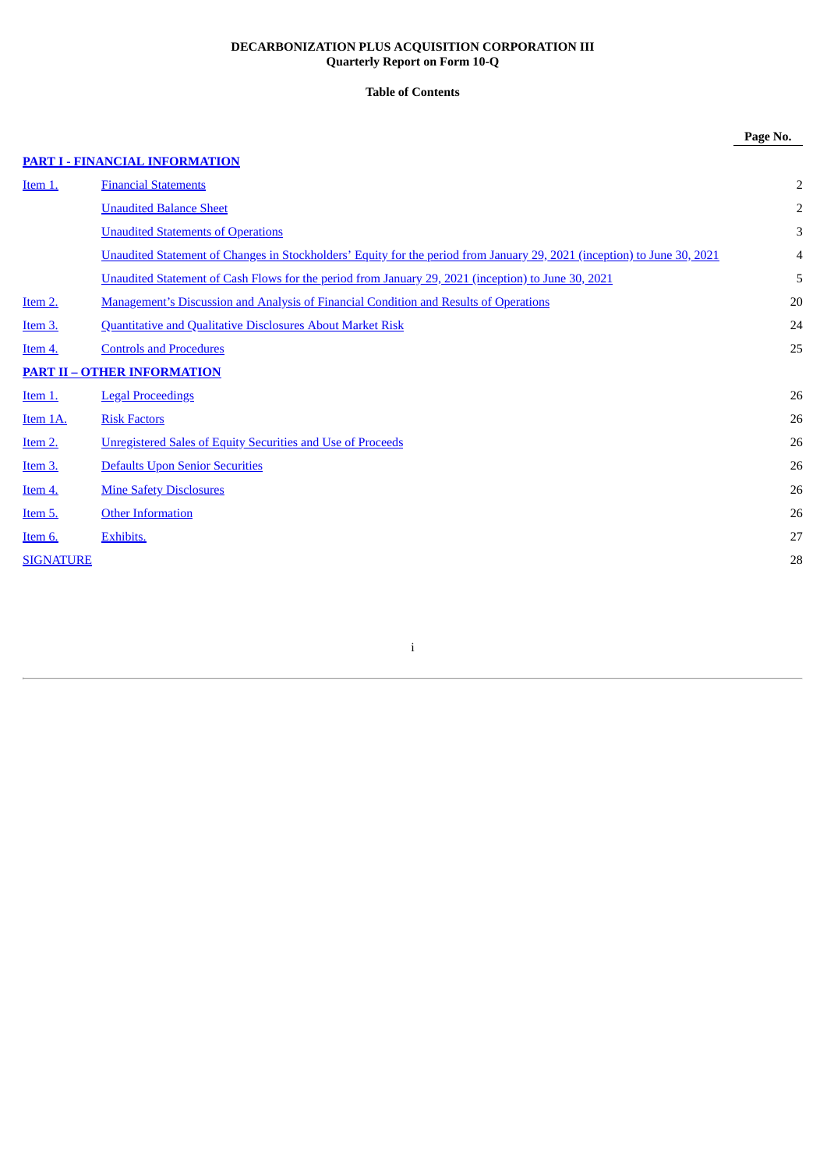## **DECARBONIZATION PLUS ACQUISITION CORPORATION III Quarterly Report on Form 10-Q**

## **Table of Contents**

|                  |                                                                                                                          | Page No.       |
|------------------|--------------------------------------------------------------------------------------------------------------------------|----------------|
|                  | <b>PART I - FINANCIAL INFORMATION</b>                                                                                    |                |
| Item 1.          | <b>Financial Statements</b>                                                                                              | $\overline{2}$ |
|                  | <b>Unaudited Balance Sheet</b>                                                                                           | 2              |
|                  | <b>Unaudited Statements of Operations</b>                                                                                | 3              |
|                  | Unaudited Statement of Changes in Stockholders' Equity for the period from January 29, 2021 (inception) to June 30, 2021 | 4              |
|                  | Unaudited Statement of Cash Flows for the period from January 29, 2021 (inception) to June 30, 2021                      | 5              |
| Item 2.          | <b>Management's Discussion and Analysis of Financial Condition and Results of Operations</b>                             | 20             |
| Item 3.          | Quantitative and Qualitative Disclosures About Market Risk                                                               | 24             |
| Item 4.          | <b>Controls and Procedures</b>                                                                                           | 25             |
|                  | <b>PART II - OTHER INFORMATION</b>                                                                                       |                |
| Item 1.          | <b>Legal Proceedings</b>                                                                                                 | 26             |
| Item 1A.         | <b>Risk Factors</b>                                                                                                      | 26             |
| Item 2.          | <b>Unregistered Sales of Equity Securities and Use of Proceeds</b>                                                       | 26             |
| Item 3.          | Defaults Upon Senior Securities                                                                                          | 26             |
| Item 4.          | <b>Mine Safety Disclosures</b>                                                                                           | 26             |
| Item 5.          | <b>Other Information</b>                                                                                                 | 26             |
| Item 6.          | Exhibits.                                                                                                                | 27             |
| <b>SIGNATURE</b> |                                                                                                                          | 28             |
|                  |                                                                                                                          |                |

i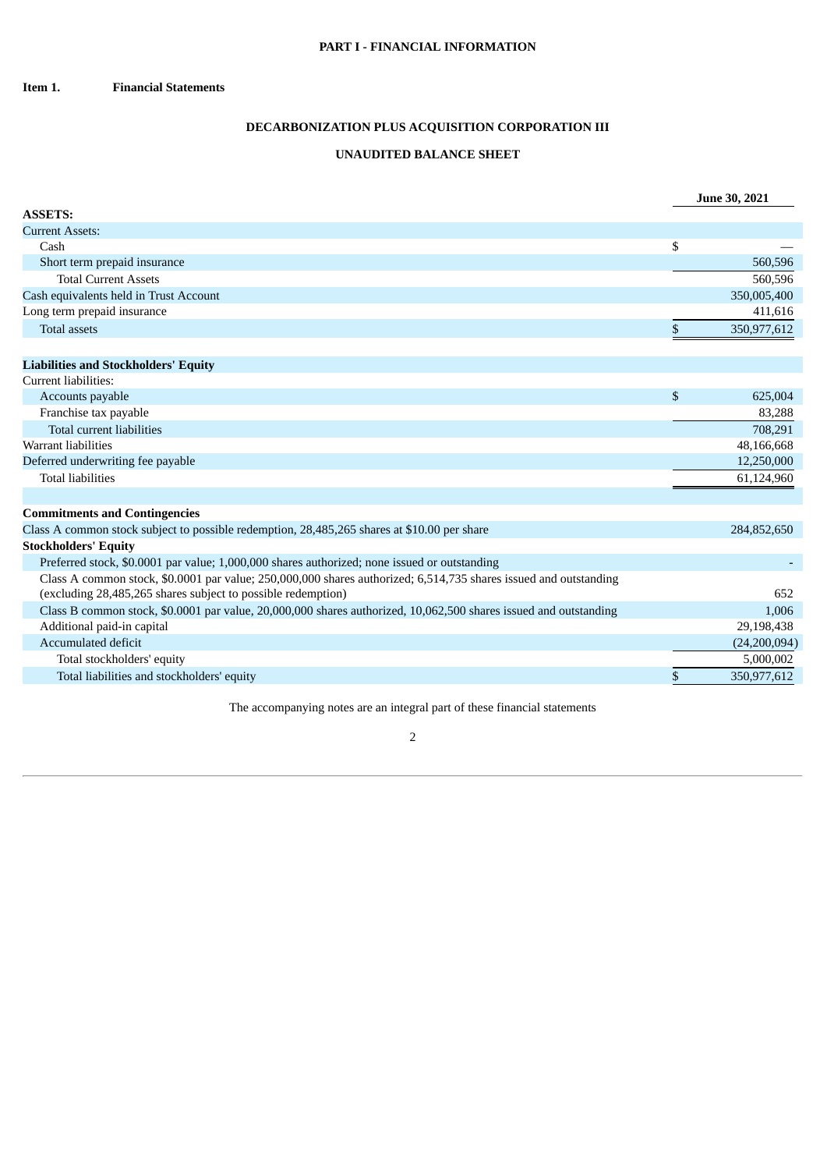## <span id="page-2-1"></span><span id="page-2-0"></span>**Item 1. Financial Statements**

## **DECARBONIZATION PLUS ACQUISITION CORPORATION III**

## **UNAUDITED BALANCE SHEET**

<span id="page-2-2"></span>

|                                                                                                                  | <b>June 30, 2021</b> |
|------------------------------------------------------------------------------------------------------------------|----------------------|
| <b>ASSETS:</b>                                                                                                   |                      |
| <b>Current Assets:</b>                                                                                           |                      |
| Cash                                                                                                             | \$                   |
| Short term prepaid insurance                                                                                     | 560,596              |
| <b>Total Current Assets</b>                                                                                      | 560,596              |
| Cash equivalents held in Trust Account                                                                           | 350,005,400          |
| Long term prepaid insurance                                                                                      | 411,616              |
| <b>Total assets</b>                                                                                              | \$<br>350,977,612    |
| <b>Liabilities and Stockholders' Equity</b>                                                                      |                      |
| Current liabilities:                                                                                             |                      |
| Accounts payable                                                                                                 | \$<br>625,004        |
| Franchise tax payable                                                                                            | 83,288               |
| Total current liabilities                                                                                        | 708,291              |
| Warrant liabilities                                                                                              | 48,166,668           |
| Deferred underwriting fee payable                                                                                | 12,250,000           |
| <b>Total liabilities</b>                                                                                         | 61,124,960           |
|                                                                                                                  |                      |
| <b>Commitments and Contingencies</b>                                                                             |                      |
| Class A common stock subject to possible redemption, 28,485,265 shares at \$10.00 per share                      | 284,852,650          |
| <b>Stockholders' Equity</b>                                                                                      |                      |
| Preferred stock, \$0.0001 par value; 1,000,000 shares authorized; none issued or outstanding                     |                      |
| Class A common stock, \$0.0001 par value; 250,000,000 shares authorized; 6,514,735 shares issued and outstanding |                      |
| (excluding 28,485,265 shares subject to possible redemption)                                                     | 652                  |
| Class B common stock, \$0.0001 par value, 20,000,000 shares authorized, 10,062,500 shares issued and outstanding | 1,006                |
| Additional paid-in capital                                                                                       | 29,198,438           |
| Accumulated deficit                                                                                              | (24,200,094)         |
| Total stockholders' equity                                                                                       | 5,000,002            |
| Total liabilities and stockholders' equity                                                                       | \$<br>350,977,612    |

The accompanying notes are an integral part of these financial statements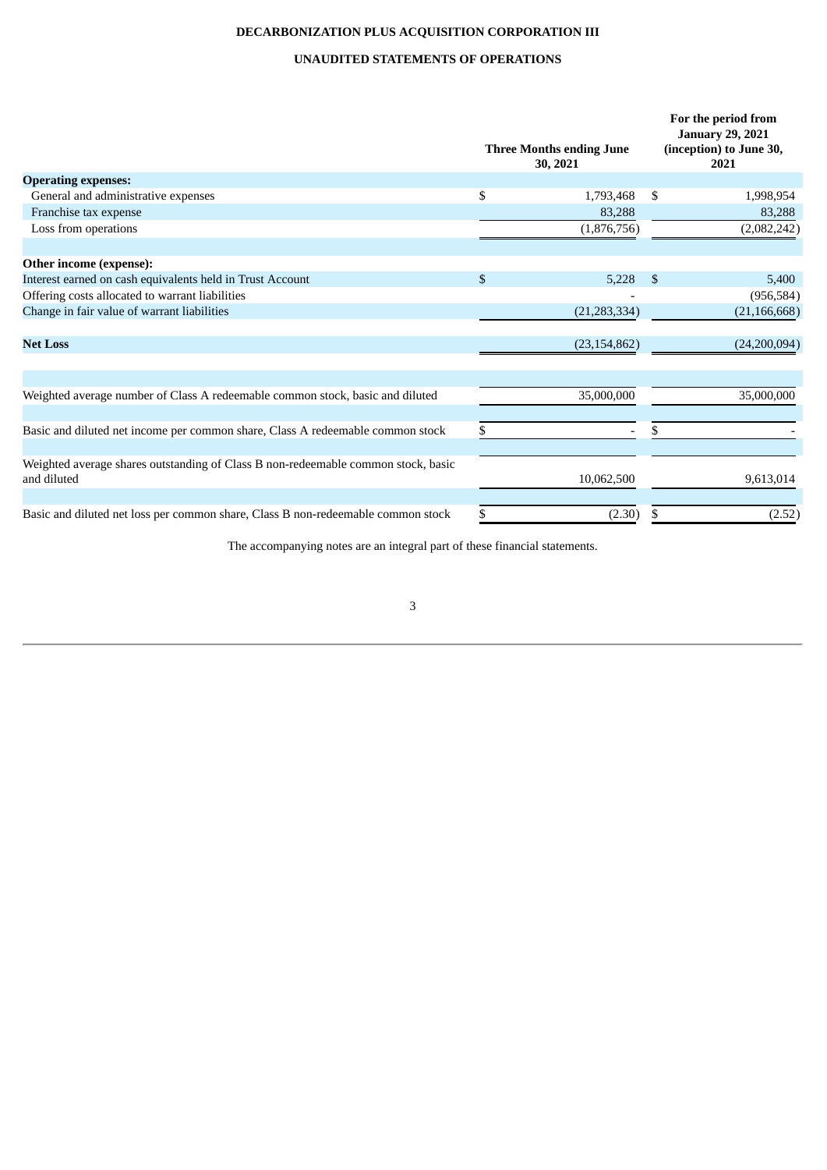# **DECARBONIZATION PLUS ACQUISITION CORPORATION III**

## **UNAUDITED STATEMENTS OF OPERATIONS**

<span id="page-3-0"></span>

|                                                                                                  | <b>Three Months ending June</b><br>30, 2021 |    | For the period from<br><b>January 29, 2021</b><br>(inception) to June 30,<br>2021 |
|--------------------------------------------------------------------------------------------------|---------------------------------------------|----|-----------------------------------------------------------------------------------|
| <b>Operating expenses:</b>                                                                       |                                             |    |                                                                                   |
| General and administrative expenses                                                              | \$<br>1,793,468                             | S  | 1,998,954                                                                         |
| Franchise tax expense                                                                            | 83,288                                      |    | 83,288                                                                            |
| Loss from operations                                                                             | (1,876,756)                                 |    | (2,082,242)                                                                       |
| Other income (expense):                                                                          |                                             |    |                                                                                   |
| Interest earned on cash equivalents held in Trust Account                                        | \$<br>5,228                                 | \$ | 5,400                                                                             |
| Offering costs allocated to warrant liabilities                                                  |                                             |    | (956, 584)                                                                        |
| Change in fair value of warrant liabilities                                                      | (21, 283, 334)                              |    | (21, 166, 668)                                                                    |
| <b>Net Loss</b>                                                                                  | (23, 154, 862)                              |    | (24,200,094)                                                                      |
|                                                                                                  |                                             |    |                                                                                   |
| Weighted average number of Class A redeemable common stock, basic and diluted                    | 35,000,000                                  |    | 35,000,000                                                                        |
| Basic and diluted net income per common share, Class A redeemable common stock                   | \$                                          | \$ |                                                                                   |
| Weighted average shares outstanding of Class B non-redeemable common stock, basic<br>and diluted | 10,062,500                                  |    | 9,613,014                                                                         |
| Basic and diluted net loss per common share, Class B non-redeemable common stock                 | \$<br>(2.30)                                | \$ | (2.52)                                                                            |

The accompanying notes are an integral part of these financial statements.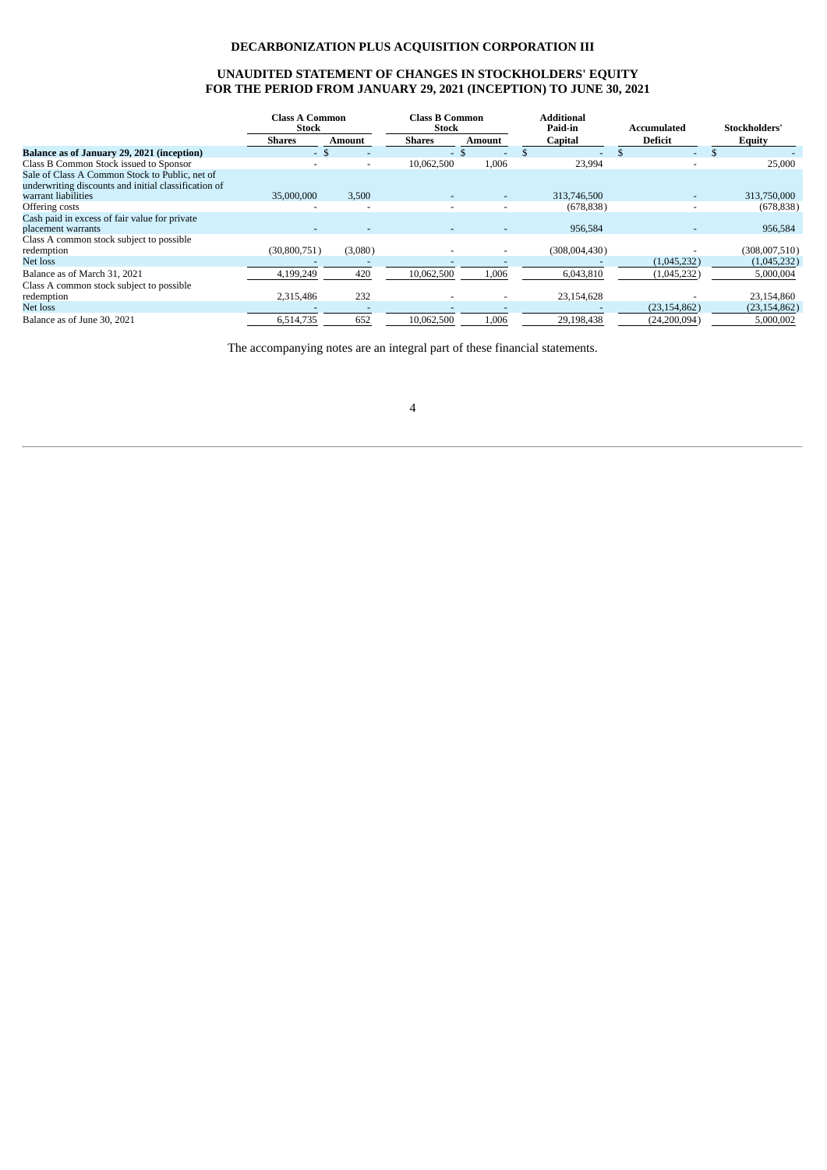## **DECARBONIZATION PLUS ACQUISITION CORPORATION III**

## **UNAUDITED STATEMENT OF CHANGES IN STOCKHOLDERS' EQUITY FOR THE PERIOD FROM JANUARY 29, 2021 (INCEPTION) TO JUNE 30, 2021**

<span id="page-4-0"></span>

|                                                                                                        | <b>Class A Common</b><br><b>Stock</b> |         | <b>Class B Common</b><br><b>Stock</b> |                          | Additional<br>Paid-in | Accumulated              | Stockholders'  |
|--------------------------------------------------------------------------------------------------------|---------------------------------------|---------|---------------------------------------|--------------------------|-----------------------|--------------------------|----------------|
|                                                                                                        | Shares                                | Amount  | <b>Shares</b>                         | Amount                   | Capital               | <b>Deficit</b>           | Equity         |
| Balance as of January 29, 2021 (inception)                                                             | $-$ \$                                |         | - \$                                  |                          |                       | $\overline{\phantom{0}}$ |                |
| Class B Common Stock issued to Sponsor                                                                 |                                       |         | 10,062,500                            | 1,006                    | 23,994                |                          | 25,000         |
| Sale of Class A Common Stock to Public, net of<br>underwriting discounts and initial classification of |                                       |         |                                       |                          |                       |                          |                |
| warrant liabilities                                                                                    | 35,000,000                            | 3,500   |                                       | $\overline{\phantom{0}}$ | 313,746,500           |                          | 313,750,000    |
| Offering costs                                                                                         |                                       |         |                                       |                          | (678, 838)            |                          | (678, 838)     |
| Cash paid in excess of fair value for private<br>placement warrants                                    |                                       |         | $\overline{\phantom{0}}$              | $\overline{\phantom{0}}$ | 956,584               |                          | 956,584        |
| Class A common stock subject to possible<br>redemption                                                 | (30,800,751)                          | (3,080) |                                       |                          | (308,004,430)         |                          | (308,007,510)  |
| Net loss                                                                                               |                                       |         |                                       |                          |                       | (1,045,232)              | (1,045,232)    |
| Balance as of March 31, 2021                                                                           | 4,199,249                             | 420     | 10,062,500                            | 1,006                    | 6,043,810             | (1,045,232)              | 5,000,004      |
| Class A common stock subject to possible<br>redemption                                                 | 2,315,486                             | 232     |                                       |                          | 23,154,628            |                          | 23,154,860     |
| Net loss                                                                                               |                                       |         |                                       |                          |                       | (23, 154, 862)           | (23, 154, 862) |
| Balance as of June 30, 2021                                                                            | 6,514,735                             | 652     | 10,062,500                            | 1,006                    | 29,198,438            | (24, 200, 094)           | 5,000,002      |

The accompanying notes are an integral part of these financial statements.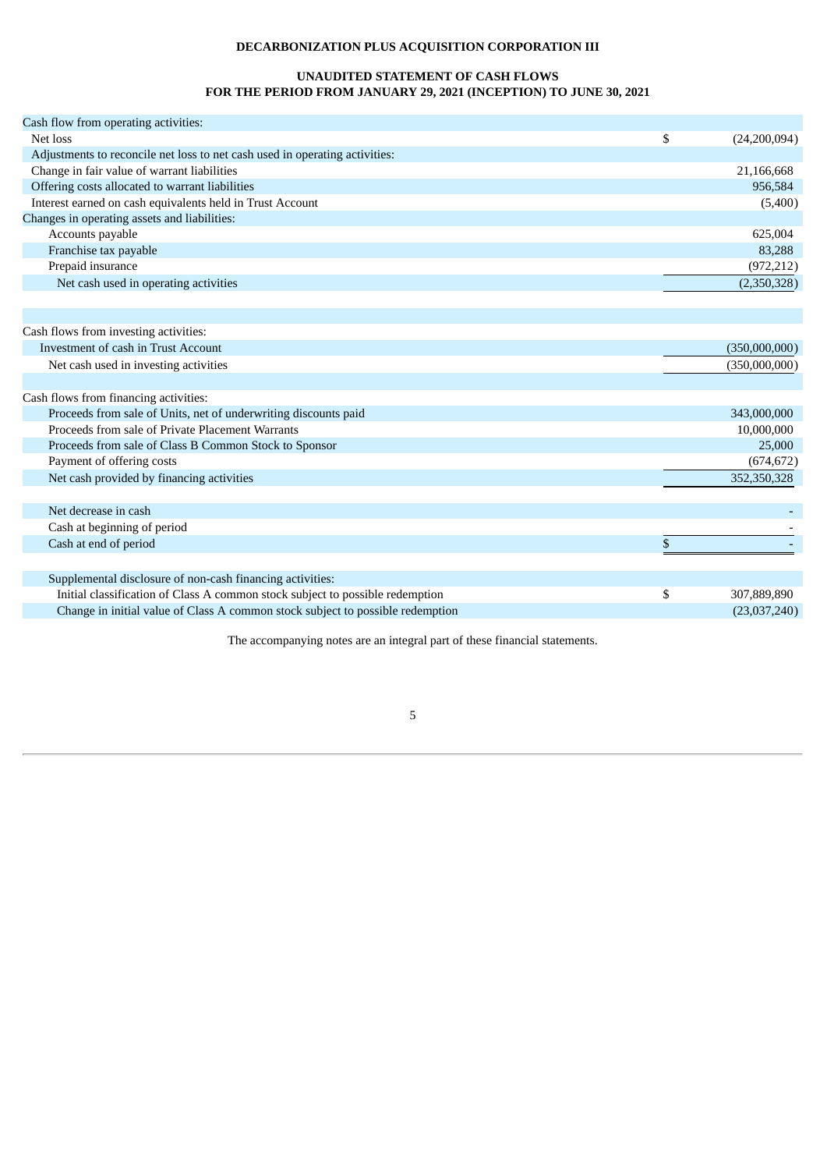## **DECARBONIZATION PLUS ACQUISITION CORPORATION III**

## **UNAUDITED STATEMENT OF CASH FLOWS FOR THE PERIOD FROM JANUARY 29, 2021 (INCEPTION) TO JUNE 30, 2021**

<span id="page-5-0"></span>

| Cash flow from operating activities:                                           |                    |
|--------------------------------------------------------------------------------|--------------------|
| Net loss                                                                       | \$<br>(24,200,094) |
| Adjustments to reconcile net loss to net cash used in operating activities:    |                    |
| Change in fair value of warrant liabilities                                    | 21,166,668         |
| Offering costs allocated to warrant liabilities                                | 956,584            |
| Interest earned on cash equivalents held in Trust Account                      | (5,400)            |
| Changes in operating assets and liabilities:                                   |                    |
| Accounts payable                                                               | 625,004            |
| Franchise tax payable                                                          | 83,288             |
| Prepaid insurance                                                              | (972, 212)         |
| Net cash used in operating activities                                          | (2,350,328)        |
|                                                                                |                    |
|                                                                                |                    |
| Cash flows from investing activities:                                          |                    |
| Investment of cash in Trust Account                                            | (350,000,000)      |
| Net cash used in investing activities                                          | (350,000,000)      |
|                                                                                |                    |
| Cash flows from financing activities:                                          |                    |
| Proceeds from sale of Units, net of underwriting discounts paid                | 343,000,000        |
| Proceeds from sale of Private Placement Warrants                               | 10,000,000         |
| Proceeds from sale of Class B Common Stock to Sponsor                          | 25,000             |
| Payment of offering costs                                                      | (674, 672)         |
| Net cash provided by financing activities                                      | 352,350,328        |
|                                                                                |                    |
| Net decrease in cash                                                           |                    |
| Cash at beginning of period                                                    |                    |
| Cash at end of period                                                          | \$                 |
|                                                                                |                    |
| Supplemental disclosure of non-cash financing activities:                      |                    |
| Initial classification of Class A common stock subject to possible redemption  | \$<br>307,889,890  |
| Change in initial value of Class A common stock subject to possible redemption | (23,037,240)       |

The accompanying notes are an integral part of these financial statements.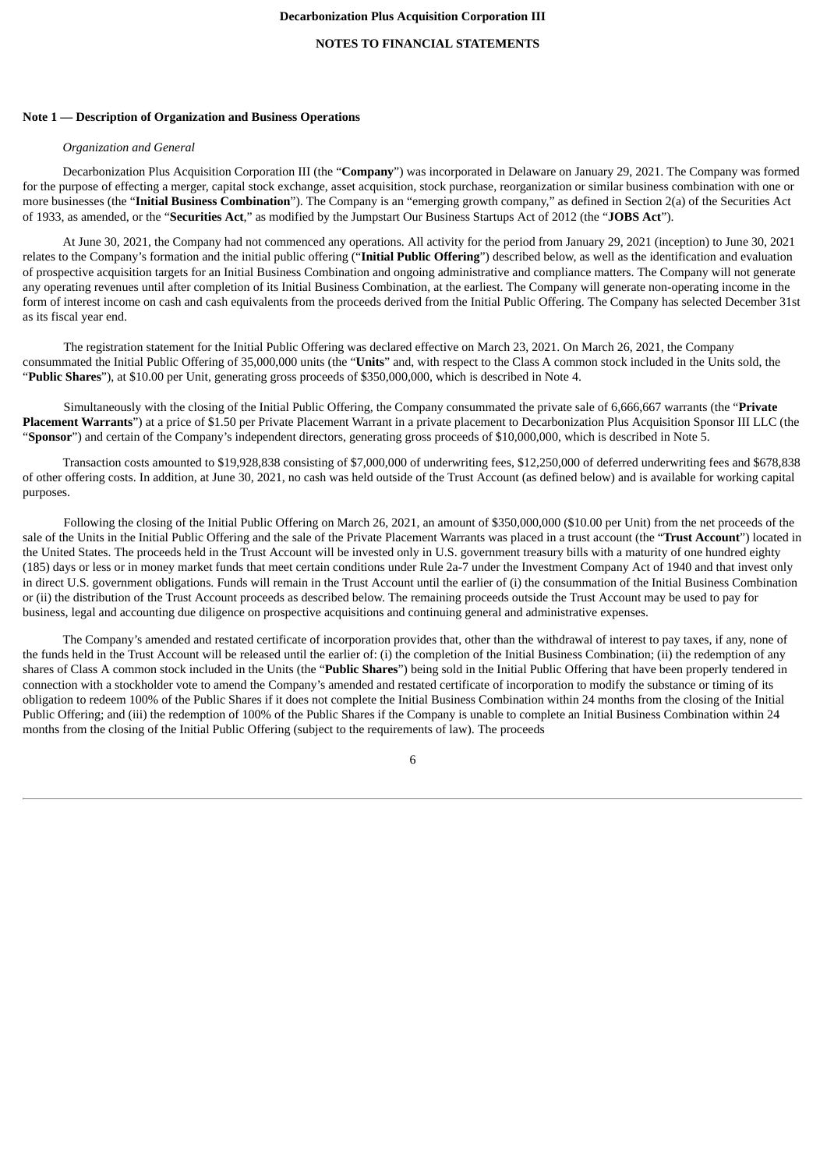## **NOTES TO FINANCIAL STATEMENTS**

#### **Note 1 — Description of Organization and Business Operations**

### *Organization and General*

Decarbonization Plus Acquisition Corporation III (the "**Company**") was incorporated in Delaware on January 29, 2021. The Company was formed for the purpose of effecting a merger, capital stock exchange, asset acquisition, stock purchase, reorganization or similar business combination with one or more businesses (the "**Initial Business Combination**"). The Company is an "emerging growth company," as defined in Section 2(a) of the Securities Act of 1933, as amended, or the "**Securities Act**," as modified by the Jumpstart Our Business Startups Act of 2012 (the "**JOBS Act**").

At June 30, 2021, the Company had not commenced any operations. All activity for the period from January 29, 2021 (inception) to June 30, 2021 relates to the Company's formation and the initial public offering ("**Initial Public Offering**") described below, as well as the identification and evaluation of prospective acquisition targets for an Initial Business Combination and ongoing administrative and compliance matters. The Company will not generate any operating revenues until after completion of its Initial Business Combination, at the earliest. The Company will generate non-operating income in the form of interest income on cash and cash equivalents from the proceeds derived from the Initial Public Offering. The Company has selected December 31st as its fiscal year end.

The registration statement for the Initial Public Offering was declared effective on March 23, 2021. On March 26, 2021, the Company consummated the Initial Public Offering of 35,000,000 units (the "**Units**" and, with respect to the Class A common stock included in the Units sold, the "**Public Shares**"), at \$10.00 per Unit, generating gross proceeds of \$350,000,000, which is described in Note 4.

Simultaneously with the closing of the Initial Public Offering, the Company consummated the private sale of 6,666,667 warrants (the "**Private Placement Warrants**") at a price of \$1.50 per Private Placement Warrant in a private placement to Decarbonization Plus Acquisition Sponsor III LLC (the "**Sponsor**") and certain of the Company's independent directors, generating gross proceeds of \$10,000,000, which is described in Note 5.

Transaction costs amounted to \$19,928,838 consisting of \$7,000,000 of underwriting fees, \$12,250,000 of deferred underwriting fees and \$678,838 of other offering costs. In addition, at June 30, 2021, no cash was held outside of the Trust Account (as defined below) and is available for working capital purposes.

Following the closing of the Initial Public Offering on March 26, 2021, an amount of \$350,000,000 (\$10.00 per Unit) from the net proceeds of the sale of the Units in the Initial Public Offering and the sale of the Private Placement Warrants was placed in a trust account (the "**Trust Account**") located in the United States. The proceeds held in the Trust Account will be invested only in U.S. government treasury bills with a maturity of one hundred eighty (185) days or less or in money market funds that meet certain conditions under Rule 2a-7 under the Investment Company Act of 1940 and that invest only in direct U.S. government obligations. Funds will remain in the Trust Account until the earlier of (i) the consummation of the Initial Business Combination or (ii) the distribution of the Trust Account proceeds as described below. The remaining proceeds outside the Trust Account may be used to pay for business, legal and accounting due diligence on prospective acquisitions and continuing general and administrative expenses.

The Company's amended and restated certificate of incorporation provides that, other than the withdrawal of interest to pay taxes, if any, none of the funds held in the Trust Account will be released until the earlier of: (i) the completion of the Initial Business Combination; (ii) the redemption of any shares of Class A common stock included in the Units (the "**Public Shares**") being sold in the Initial Public Offering that have been properly tendered in connection with a stockholder vote to amend the Company's amended and restated certificate of incorporation to modify the substance or timing of its obligation to redeem 100% of the Public Shares if it does not complete the Initial Business Combination within 24 months from the closing of the Initial Public Offering; and (iii) the redemption of 100% of the Public Shares if the Company is unable to complete an Initial Business Combination within 24 months from the closing of the Initial Public Offering (subject to the requirements of law). The proceeds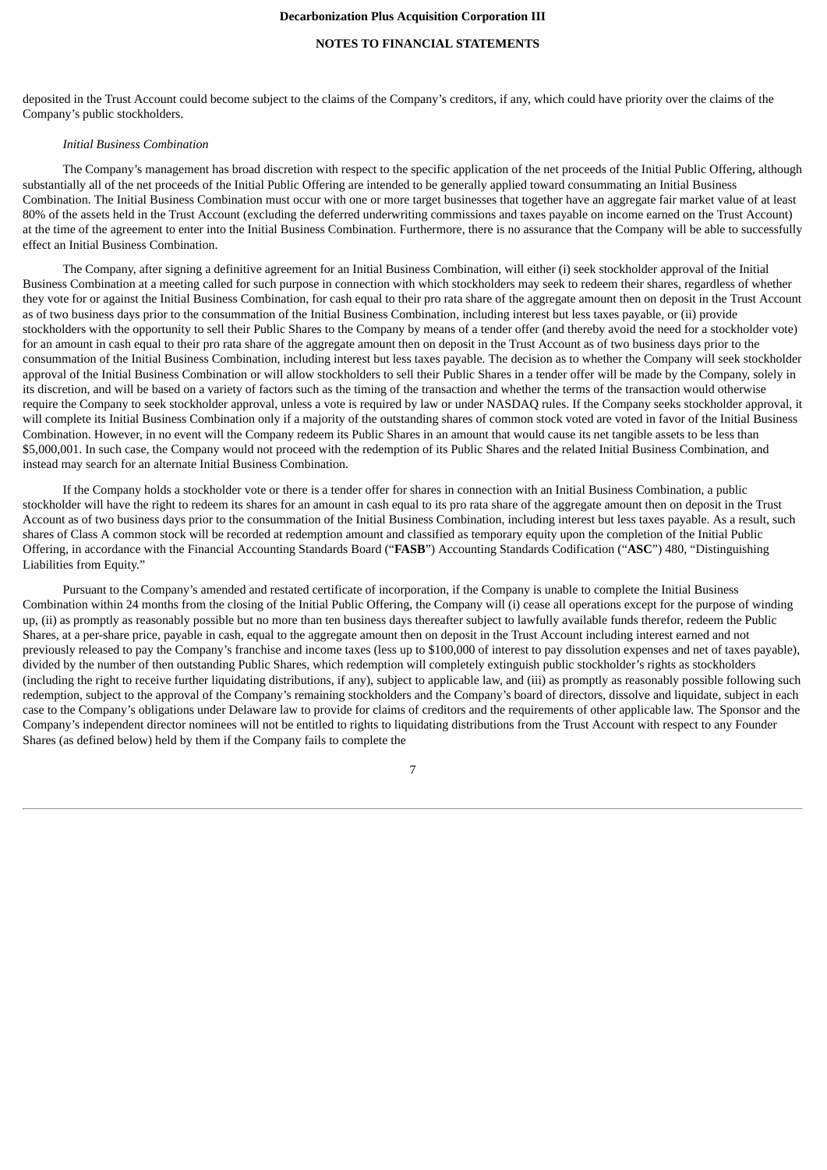#### **NOTES TO FINANCIAL STATEMENTS**

deposited in the Trust Account could become subject to the claims of the Company's creditors, if any, which could have priority over the claims of the Company's public stockholders.

### *Initial Business Combination*

The Company's management has broad discretion with respect to the specific application of the net proceeds of the Initial Public Offering, although substantially all of the net proceeds of the Initial Public Offering are intended to be generally applied toward consummating an Initial Business Combination. The Initial Business Combination must occur with one or more target businesses that together have an aggregate fair market value of at least 80% of the assets held in the Trust Account (excluding the deferred underwriting commissions and taxes payable on income earned on the Trust Account) at the time of the agreement to enter into the Initial Business Combination. Furthermore, there is no assurance that the Company will be able to successfully effect an Initial Business Combination.

The Company, after signing a definitive agreement for an Initial Business Combination, will either (i) seek stockholder approval of the Initial Business Combination at a meeting called for such purpose in connection with which stockholders may seek to redeem their shares, regardless of whether they vote for or against the Initial Business Combination, for cash equal to their pro rata share of the aggregate amount then on deposit in the Trust Account as of two business days prior to the consummation of the Initial Business Combination, including interest but less taxes payable, or (ii) provide stockholders with the opportunity to sell their Public Shares to the Company by means of a tender offer (and thereby avoid the need for a stockholder vote) for an amount in cash equal to their pro rata share of the aggregate amount then on deposit in the Trust Account as of two business days prior to the consummation of the Initial Business Combination, including interest but less taxes payable. The decision as to whether the Company will seek stockholder approval of the Initial Business Combination or will allow stockholders to sell their Public Shares in a tender offer will be made by the Company, solely in its discretion, and will be based on a variety of factors such as the timing of the transaction and whether the terms of the transaction would otherwise require the Company to seek stockholder approval, unless a vote is required by law or under NASDAQ rules. If the Company seeks stockholder approval, it will complete its Initial Business Combination only if a majority of the outstanding shares of common stock voted are voted in favor of the Initial Business Combination. However, in no event will the Company redeem its Public Shares in an amount that would cause its net tangible assets to be less than \$5,000,001. In such case, the Company would not proceed with the redemption of its Public Shares and the related Initial Business Combination, and instead may search for an alternate Initial Business Combination.

If the Company holds a stockholder vote or there is a tender offer for shares in connection with an Initial Business Combination, a public stockholder will have the right to redeem its shares for an amount in cash equal to its pro rata share of the aggregate amount then on deposit in the Trust Account as of two business days prior to the consummation of the Initial Business Combination, including interest but less taxes payable. As a result, such shares of Class A common stock will be recorded at redemption amount and classified as temporary equity upon the completion of the Initial Public Offering, in accordance with the Financial Accounting Standards Board ("**FASB**") Accounting Standards Codification ("**ASC**") 480, "Distinguishing Liabilities from Equity."

Pursuant to the Company's amended and restated certificate of incorporation, if the Company is unable to complete the Initial Business Combination within 24 months from the closing of the Initial Public Offering, the Company will (i) cease all operations except for the purpose of winding up, (ii) as promptly as reasonably possible but no more than ten business days thereafter subject to lawfully available funds therefor, redeem the Public Shares, at a per-share price, payable in cash, equal to the aggregate amount then on deposit in the Trust Account including interest earned and not previously released to pay the Company's franchise and income taxes (less up to \$100,000 of interest to pay dissolution expenses and net of taxes payable), divided by the number of then outstanding Public Shares, which redemption will completely extinguish public stockholder's rights as stockholders (including the right to receive further liquidating distributions, if any), subject to applicable law, and (iii) as promptly as reasonably possible following such redemption, subject to the approval of the Company's remaining stockholders and the Company's board of directors, dissolve and liquidate, subject in each case to the Company's obligations under Delaware law to provide for claims of creditors and the requirements of other applicable law. The Sponsor and the Company's independent director nominees will not be entitled to rights to liquidating distributions from the Trust Account with respect to any Founder Shares (as defined below) held by them if the Company fails to complete the

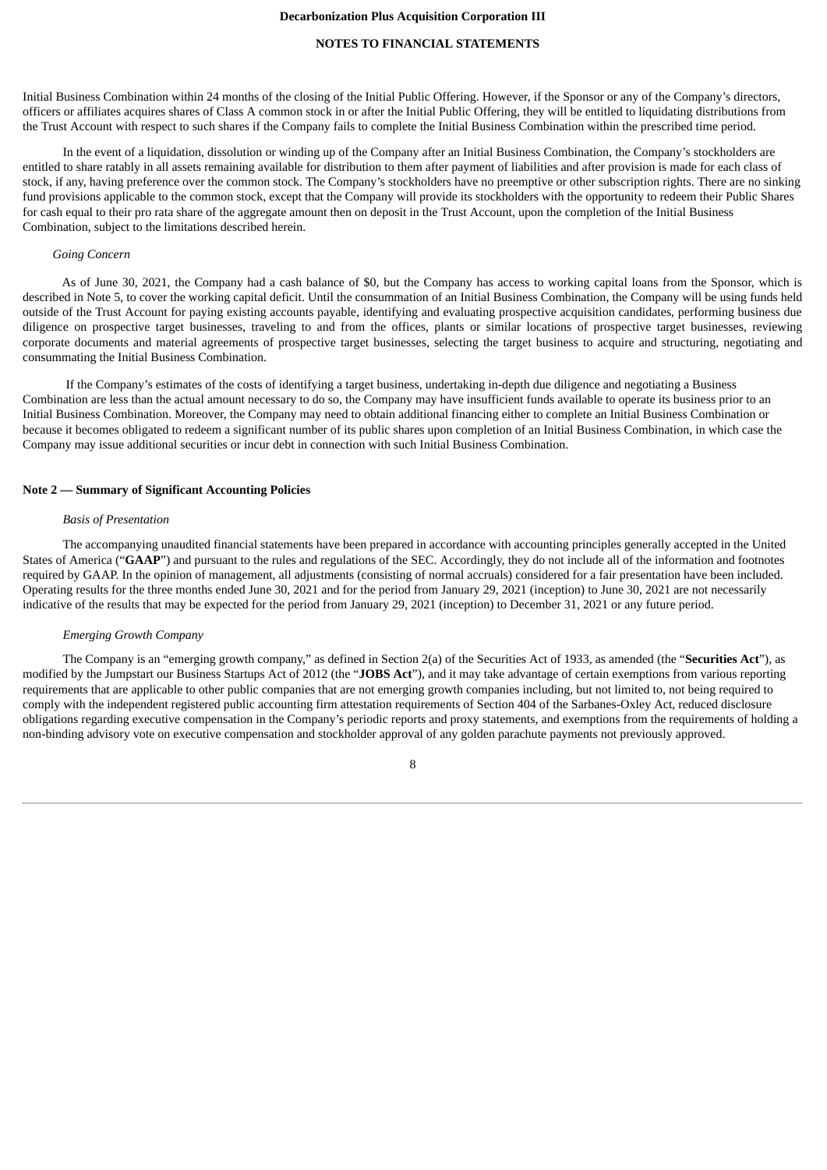## **NOTES TO FINANCIAL STATEMENTS**

Initial Business Combination within 24 months of the closing of the Initial Public Offering. However, if the Sponsor or any of the Company's directors, officers or affiliates acquires shares of Class A common stock in or after the Initial Public Offering, they will be entitled to liquidating distributions from the Trust Account with respect to such shares if the Company fails to complete the Initial Business Combination within the prescribed time period.

In the event of a liquidation, dissolution or winding up of the Company after an Initial Business Combination, the Company's stockholders are entitled to share ratably in all assets remaining available for distribution to them after payment of liabilities and after provision is made for each class of stock, if any, having preference over the common stock. The Company's stockholders have no preemptive or other subscription rights. There are no sinking fund provisions applicable to the common stock, except that the Company will provide its stockholders with the opportunity to redeem their Public Shares for cash equal to their pro rata share of the aggregate amount then on deposit in the Trust Account, upon the completion of the Initial Business Combination, subject to the limitations described herein.

## *Going Concern*

As of June 30, 2021, the Company had a cash balance of \$0, but the Company has access to working capital loans from the Sponsor, which is described in Note 5, to cover the working capital deficit. Until the consummation of an Initial Business Combination, the Company will be using funds held outside of the Trust Account for paying existing accounts payable, identifying and evaluating prospective acquisition candidates, performing business due diligence on prospective target businesses, traveling to and from the offices, plants or similar locations of prospective target businesses, reviewing corporate documents and material agreements of prospective target businesses, selecting the target business to acquire and structuring, negotiating and consummating the Initial Business Combination.

If the Company's estimates of the costs of identifying a target business, undertaking in-depth due diligence and negotiating a Business Combination are less than the actual amount necessary to do so, the Company may have insufficient funds available to operate its business prior to an Initial Business Combination. Moreover, the Company may need to obtain additional financing either to complete an Initial Business Combination or because it becomes obligated to redeem a significant number of its public shares upon completion of an Initial Business Combination, in which case the Company may issue additional securities or incur debt in connection with such Initial Business Combination.

## **Note 2 — Summary of Significant Accounting Policies**

#### *Basis of Presentation*

The accompanying unaudited financial statements have been prepared in accordance with accounting principles generally accepted in the United States of America ("**GAAP**") and pursuant to the rules and regulations of the SEC. Accordingly, they do not include all of the information and footnotes required by GAAP. In the opinion of management, all adjustments (consisting of normal accruals) considered for a fair presentation have been included. Operating results for the three months ended June 30, 2021 and for the period from January 29, 2021 (inception) to June 30, 2021 are not necessarily indicative of the results that may be expected for the period from January 29, 2021 (inception) to December 31, 2021 or any future period.

### *Emerging Growth Company*

The Company is an "emerging growth company," as defined in Section 2(a) of the Securities Act of 1933, as amended (the "**Securities Act**"), as modified by the Jumpstart our Business Startups Act of 2012 (the "**JOBS Act**"), and it may take advantage of certain exemptions from various reporting requirements that are applicable to other public companies that are not emerging growth companies including, but not limited to, not being required to comply with the independent registered public accounting firm attestation requirements of Section 404 of the Sarbanes-Oxley Act, reduced disclosure obligations regarding executive compensation in the Company's periodic reports and proxy statements, and exemptions from the requirements of holding a non-binding advisory vote on executive compensation and stockholder approval of any golden parachute payments not previously approved.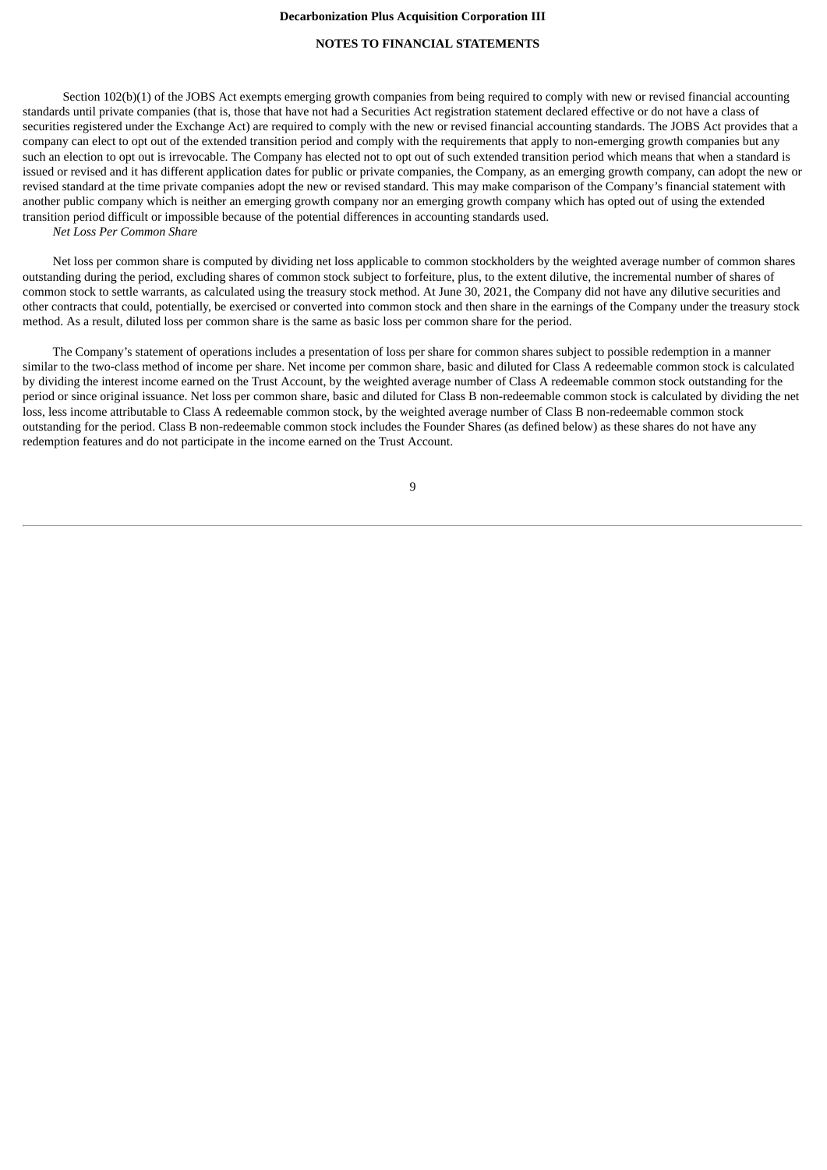#### **NOTES TO FINANCIAL STATEMENTS**

Section 102(b)(1) of the JOBS Act exempts emerging growth companies from being required to comply with new or revised financial accounting standards until private companies (that is, those that have not had a Securities Act registration statement declared effective or do not have a class of securities registered under the Exchange Act) are required to comply with the new or revised financial accounting standards. The JOBS Act provides that a company can elect to opt out of the extended transition period and comply with the requirements that apply to non-emerging growth companies but any such an election to opt out is irrevocable. The Company has elected not to opt out of such extended transition period which means that when a standard is issued or revised and it has different application dates for public or private companies, the Company, as an emerging growth company, can adopt the new or revised standard at the time private companies adopt the new or revised standard. This may make comparison of the Company's financial statement with another public company which is neither an emerging growth company nor an emerging growth company which has opted out of using the extended transition period difficult or impossible because of the potential differences in accounting standards used.

*Net Loss Per Common Share*

Net loss per common share is computed by dividing net loss applicable to common stockholders by the weighted average number of common shares outstanding during the period, excluding shares of common stock subject to forfeiture, plus, to the extent dilutive, the incremental number of shares of common stock to settle warrants, as calculated using the treasury stock method. At June 30, 2021, the Company did not have any dilutive securities and other contracts that could, potentially, be exercised or converted into common stock and then share in the earnings of the Company under the treasury stock method. As a result, diluted loss per common share is the same as basic loss per common share for the period.

The Company's statement of operations includes a presentation of loss per share for common shares subject to possible redemption in a manner similar to the two-class method of income per share. Net income per common share, basic and diluted for Class A redeemable common stock is calculated by dividing the interest income earned on the Trust Account, by the weighted average number of Class A redeemable common stock outstanding for the period or since original issuance. Net loss per common share, basic and diluted for Class B non-redeemable common stock is calculated by dividing the net loss, less income attributable to Class A redeemable common stock, by the weighted average number of Class B non-redeemable common stock outstanding for the period. Class B non-redeemable common stock includes the Founder Shares (as defined below) as these shares do not have any redemption features and do not participate in the income earned on the Trust Account.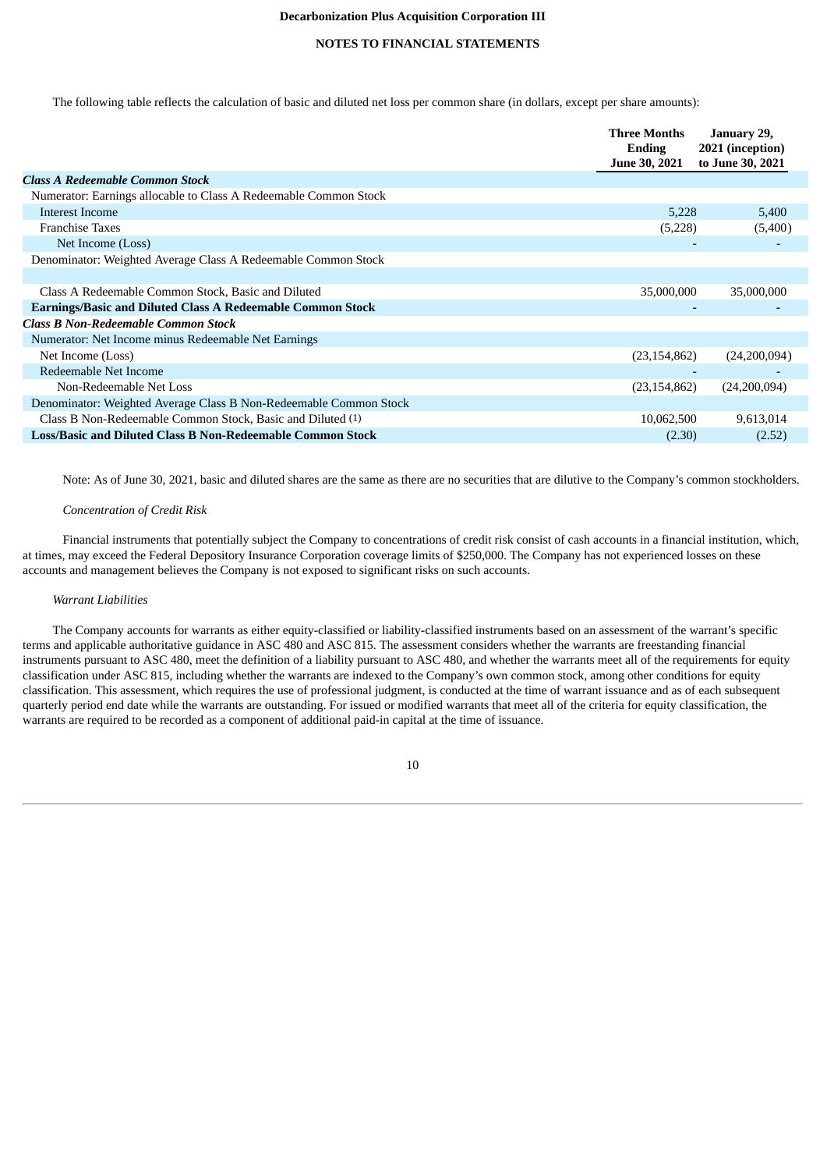## **NOTES TO FINANCIAL STATEMENTS**

The following table reflects the calculation of basic and diluted net loss per common share (in dollars, except per share amounts):

|                                                                   | <b>Three Months</b><br>Ending<br><b>June 30, 2021</b> | January 29,<br>2021 (inception)<br>to June 30, 2021 |
|-------------------------------------------------------------------|-------------------------------------------------------|-----------------------------------------------------|
| <b>Class A Redeemable Common Stock</b>                            |                                                       |                                                     |
| Numerator: Earnings allocable to Class A Redeemable Common Stock  |                                                       |                                                     |
| Interest Income                                                   | 5,228                                                 | 5,400                                               |
| <b>Franchise Taxes</b>                                            | (5,228)                                               | (5,400)                                             |
| Net Income (Loss)                                                 |                                                       |                                                     |
| Denominator: Weighted Average Class A Redeemable Common Stock     |                                                       |                                                     |
|                                                                   |                                                       |                                                     |
| Class A Redeemable Common Stock, Basic and Diluted                | 35,000,000                                            | 35,000,000                                          |
| <b>Earnings/Basic and Diluted Class A Redeemable Common Stock</b> |                                                       |                                                     |
| <b>Class B Non-Redeemable Common Stock</b>                        |                                                       |                                                     |
| Numerator: Net Income minus Redeemable Net Earnings               |                                                       |                                                     |
| Net Income (Loss)                                                 | (23, 154, 862)                                        | (24,200,094)                                        |
| Redeemable Net Income                                             |                                                       |                                                     |
| Non-Redeemable Net Loss                                           | (23, 154, 862)                                        | (24,200,094)                                        |
| Denominator: Weighted Average Class B Non-Redeemable Common Stock |                                                       |                                                     |
| Class B Non-Redeemable Common Stock, Basic and Diluted (1)        | 10,062,500                                            | 9,613,014                                           |
| <b>Loss/Basic and Diluted Class B Non-Redeemable Common Stock</b> | (2.30)                                                | (2.52)                                              |
|                                                                   |                                                       |                                                     |

Note: As of June 30, 2021, basic and diluted shares are the same as there are no securities that are dilutive to the Company's common stockholders.

## *Concentration of Credit Risk*

Financial instruments that potentially subject the Company to concentrations of credit risk consist of cash accounts in a financial institution, which, at times, may exceed the Federal Depository Insurance Corporation coverage limits of \$250,000. The Company has not experienced losses on these accounts and management believes the Company is not exposed to significant risks on such accounts.

### *Warrant Liabilities*

The Company accounts for warrants as either equity-classified or liability-classified instruments based on an assessment of the warrant's specific terms and applicable authoritative guidance in ASC 480 and ASC 815. The assessment considers whether the warrants are freestanding financial instruments pursuant to ASC 480, meet the definition of a liability pursuant to ASC 480, and whether the warrants meet all of the requirements for equity classification under ASC 815, including whether the warrants are indexed to the Company's own common stock, among other conditions for equity classification. This assessment, which requires the use of professional judgment, is conducted at the time of warrant issuance and as of each subsequent quarterly period end date while the warrants are outstanding. For issued or modified warrants that meet all of the criteria for equity classification, the warrants are required to be recorded as a component of additional paid-in capital at the time of issuance.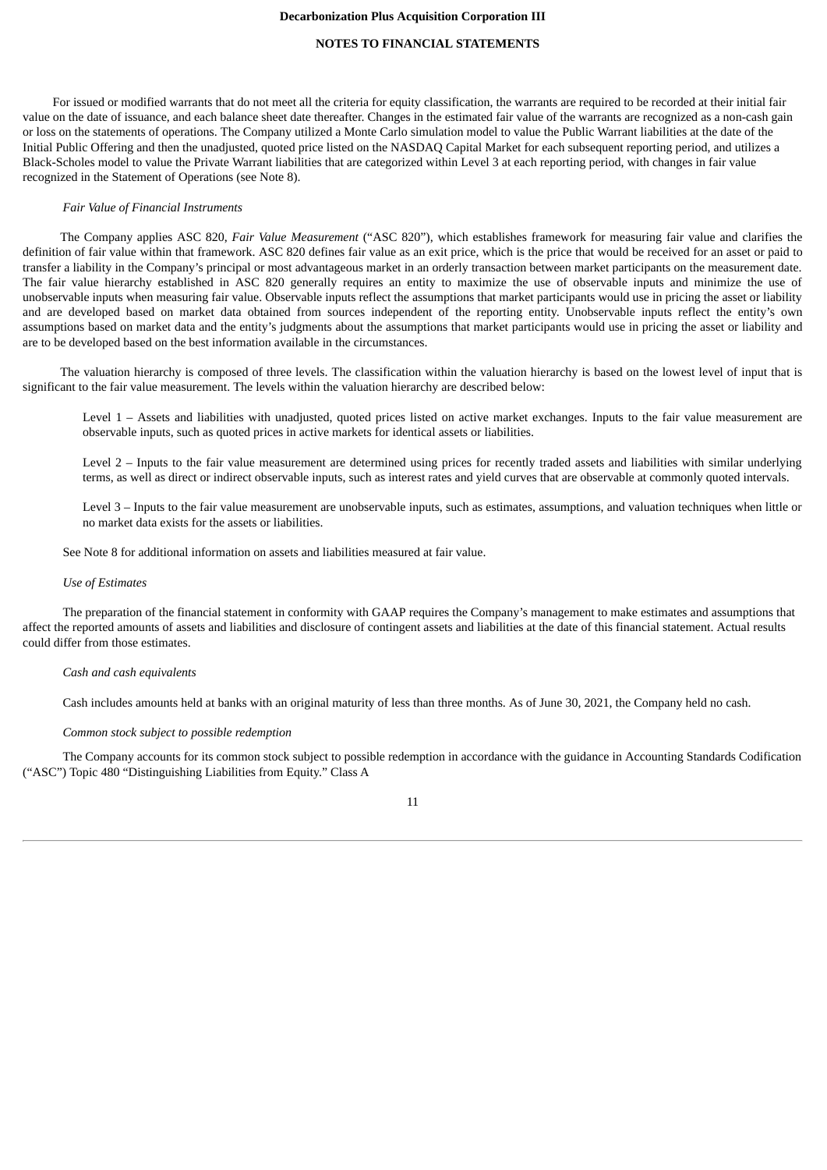## **NOTES TO FINANCIAL STATEMENTS**

For issued or modified warrants that do not meet all the criteria for equity classification, the warrants are required to be recorded at their initial fair value on the date of issuance, and each balance sheet date thereafter. Changes in the estimated fair value of the warrants are recognized as a non-cash gain or loss on the statements of operations. The Company utilized a Monte Carlo simulation model to value the Public Warrant liabilities at the date of the Initial Public Offering and then the unadjusted, quoted price listed on the NASDAQ Capital Market for each subsequent reporting period, and utilizes a Black-Scholes model to value the Private Warrant liabilities that are categorized within Level 3 at each reporting period, with changes in fair value recognized in the Statement of Operations (see Note 8).

### *Fair Value of Financial Instruments*

The Company applies ASC 820, *Fair Value Measurement* ("ASC 820"), which establishes framework for measuring fair value and clarifies the definition of fair value within that framework. ASC 820 defines fair value as an exit price, which is the price that would be received for an asset or paid to transfer a liability in the Company's principal or most advantageous market in an orderly transaction between market participants on the measurement date. The fair value hierarchy established in ASC 820 generally requires an entity to maximize the use of observable inputs and minimize the use of unobservable inputs when measuring fair value. Observable inputs reflect the assumptions that market participants would use in pricing the asset or liability and are developed based on market data obtained from sources independent of the reporting entity. Unobservable inputs reflect the entity's own assumptions based on market data and the entity's judgments about the assumptions that market participants would use in pricing the asset or liability and are to be developed based on the best information available in the circumstances.

The valuation hierarchy is composed of three levels. The classification within the valuation hierarchy is based on the lowest level of input that is significant to the fair value measurement. The levels within the valuation hierarchy are described below:

Level 1 – Assets and liabilities with unadjusted, quoted prices listed on active market exchanges. Inputs to the fair value measurement are observable inputs, such as quoted prices in active markets for identical assets or liabilities.

Level 2 – Inputs to the fair value measurement are determined using prices for recently traded assets and liabilities with similar underlying terms, as well as direct or indirect observable inputs, such as interest rates and yield curves that are observable at commonly quoted intervals.

Level 3 – Inputs to the fair value measurement are unobservable inputs, such as estimates, assumptions, and valuation techniques when little or no market data exists for the assets or liabilities.

See Note 8 for additional information on assets and liabilities measured at fair value.

#### *Use of Estimates*

The preparation of the financial statement in conformity with GAAP requires the Company's management to make estimates and assumptions that affect the reported amounts of assets and liabilities and disclosure of contingent assets and liabilities at the date of this financial statement. Actual results could differ from those estimates.

#### *Cash and cash equivalents*

Cash includes amounts held at banks with an original maturity of less than three months. As of June 30, 2021, the Company held no cash.

#### *Common stock subject to possible redemption*

The Company accounts for its common stock subject to possible redemption in accordance with the guidance in Accounting Standards Codification ("ASC") Topic 480 "Distinguishing Liabilities from Equity." Class A

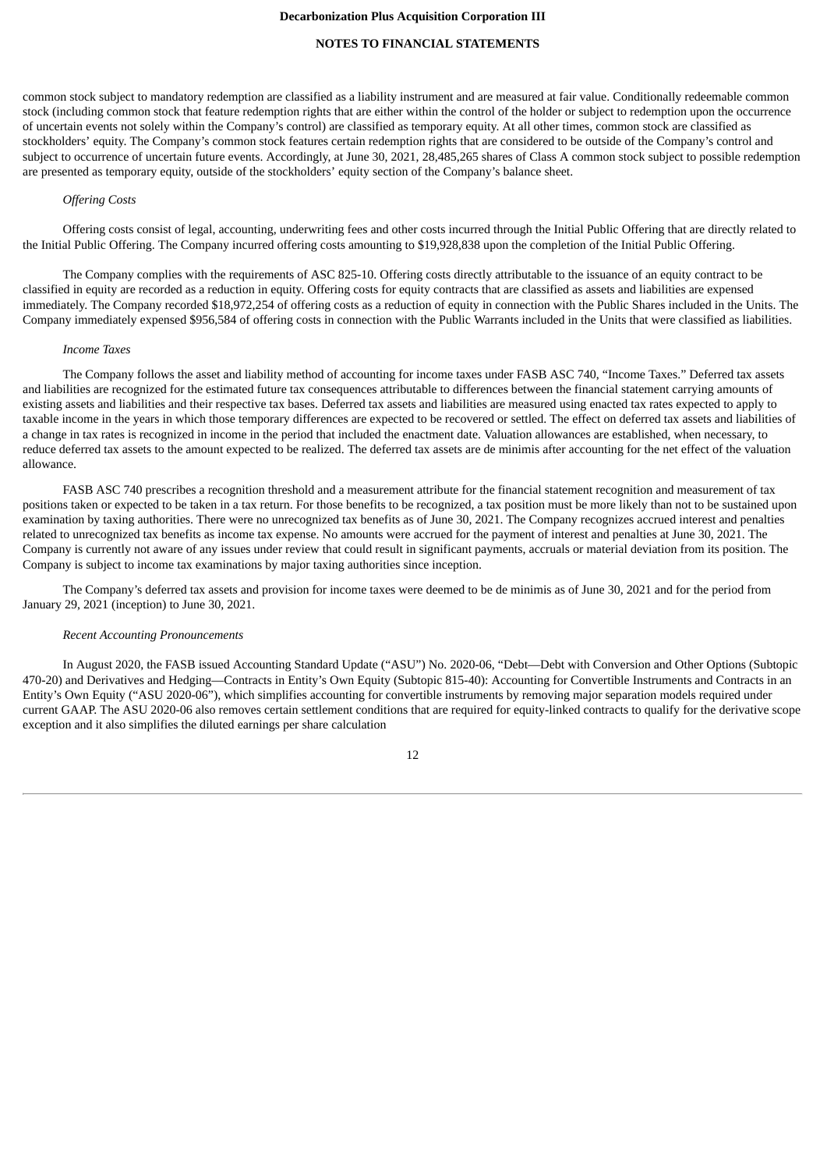#### **NOTES TO FINANCIAL STATEMENTS**

common stock subject to mandatory redemption are classified as a liability instrument and are measured at fair value. Conditionally redeemable common stock (including common stock that feature redemption rights that are either within the control of the holder or subject to redemption upon the occurrence of uncertain events not solely within the Company's control) are classified as temporary equity. At all other times, common stock are classified as stockholders' equity. The Company's common stock features certain redemption rights that are considered to be outside of the Company's control and subject to occurrence of uncertain future events. Accordingly, at June 30, 2021, 28,485,265 shares of Class A common stock subject to possible redemption are presented as temporary equity, outside of the stockholders' equity section of the Company's balance sheet.

#### *Offering Costs*

Offering costs consist of legal, accounting, underwriting fees and other costs incurred through the Initial Public Offering that are directly related to the Initial Public Offering. The Company incurred offering costs amounting to \$19,928,838 upon the completion of the Initial Public Offering.

The Company complies with the requirements of ASC 825-10. Offering costs directly attributable to the issuance of an equity contract to be classified in equity are recorded as a reduction in equity. Offering costs for equity contracts that are classified as assets and liabilities are expensed immediately. The Company recorded \$18,972,254 of offering costs as a reduction of equity in connection with the Public Shares included in the Units. The Company immediately expensed \$956,584 of offering costs in connection with the Public Warrants included in the Units that were classified as liabilities.

#### *Income Taxes*

The Company follows the asset and liability method of accounting for income taxes under FASB ASC 740, "Income Taxes." Deferred tax assets and liabilities are recognized for the estimated future tax consequences attributable to differences between the financial statement carrying amounts of existing assets and liabilities and their respective tax bases. Deferred tax assets and liabilities are measured using enacted tax rates expected to apply to taxable income in the years in which those temporary differences are expected to be recovered or settled. The effect on deferred tax assets and liabilities of a change in tax rates is recognized in income in the period that included the enactment date. Valuation allowances are established, when necessary, to reduce deferred tax assets to the amount expected to be realized. The deferred tax assets are de minimis after accounting for the net effect of the valuation allowance.

FASB ASC 740 prescribes a recognition threshold and a measurement attribute for the financial statement recognition and measurement of tax positions taken or expected to be taken in a tax return. For those benefits to be recognized, a tax position must be more likely than not to be sustained upon examination by taxing authorities. There were no unrecognized tax benefits as of June 30, 2021. The Company recognizes accrued interest and penalties related to unrecognized tax benefits as income tax expense. No amounts were accrued for the payment of interest and penalties at June 30, 2021. The Company is currently not aware of any issues under review that could result in significant payments, accruals or material deviation from its position. The Company is subject to income tax examinations by major taxing authorities since inception.

The Company's deferred tax assets and provision for income taxes were deemed to be de minimis as of June 30, 2021 and for the period from January 29, 2021 (inception) to June 30, 2021.

### *Recent Accounting Pronouncements*

In August 2020, the FASB issued Accounting Standard Update ("ASU") No. 2020-06, "Debt—Debt with Conversion and Other Options (Subtopic 470-20) and Derivatives and Hedging—Contracts in Entity's Own Equity (Subtopic 815-40): Accounting for Convertible Instruments and Contracts in an Entity's Own Equity ("ASU 2020-06"), which simplifies accounting for convertible instruments by removing major separation models required under current GAAP. The ASU 2020-06 also removes certain settlement conditions that are required for equity-linked contracts to qualify for the derivative scope exception and it also simplifies the diluted earnings per share calculation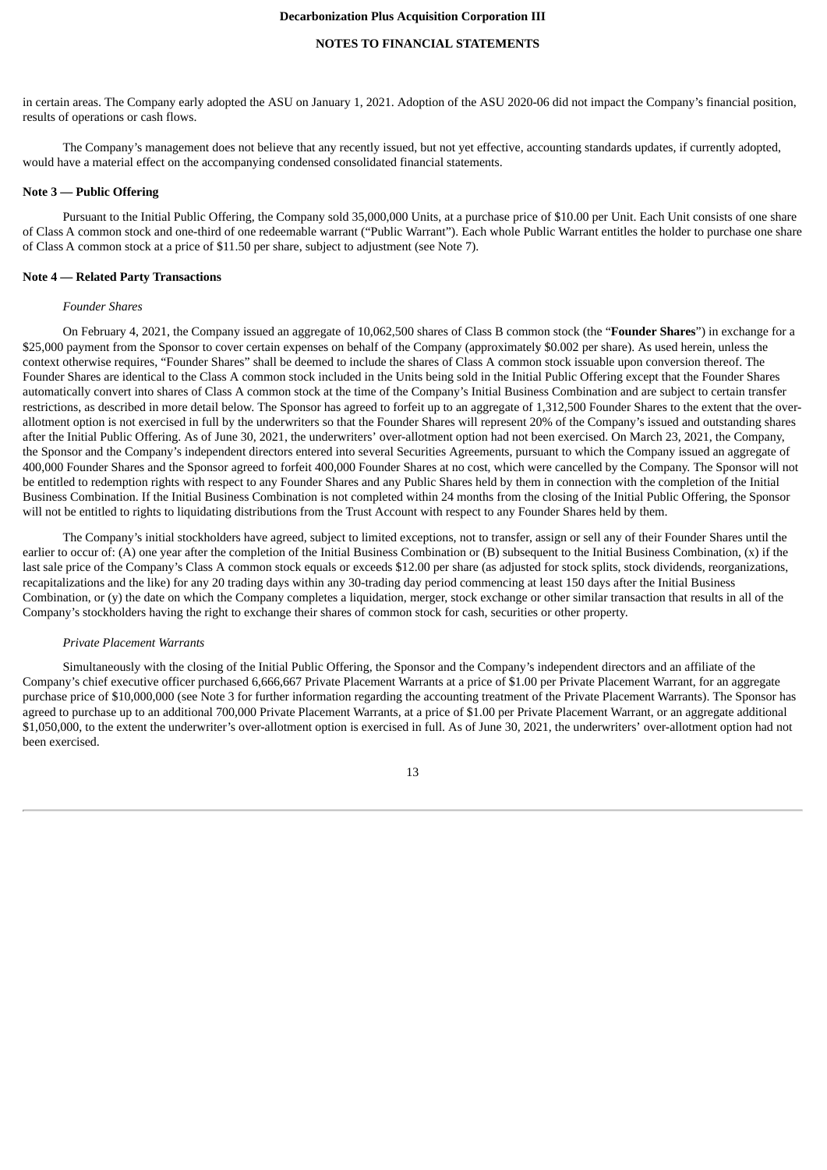### **NOTES TO FINANCIAL STATEMENTS**

in certain areas. The Company early adopted the ASU on January 1, 2021. Adoption of the ASU 2020-06 did not impact the Company's financial position, results of operations or cash flows.

The Company's management does not believe that any recently issued, but not yet effective, accounting standards updates, if currently adopted, would have a material effect on the accompanying condensed consolidated financial statements.

#### **Note 3 — Public Offering**

Pursuant to the Initial Public Offering, the Company sold 35,000,000 Units, at a purchase price of \$10.00 per Unit. Each Unit consists of one share of Class A common stock and one-third of one redeemable warrant ("Public Warrant"). Each whole Public Warrant entitles the holder to purchase one share of Class A common stock at a price of \$11.50 per share, subject to adjustment (see Note 7).

#### **Note 4 — Related Party Transactions**

#### *Founder Shares*

On February 4, 2021, the Company issued an aggregate of 10,062,500 shares of Class B common stock (the "**Founder Shares**") in exchange for a \$25,000 payment from the Sponsor to cover certain expenses on behalf of the Company (approximately \$0.002 per share). As used herein, unless the context otherwise requires, "Founder Shares" shall be deemed to include the shares of Class A common stock issuable upon conversion thereof. The Founder Shares are identical to the Class A common stock included in the Units being sold in the Initial Public Offering except that the Founder Shares automatically convert into shares of Class A common stock at the time of the Company's Initial Business Combination and are subject to certain transfer restrictions, as described in more detail below. The Sponsor has agreed to forfeit up to an aggregate of 1,312,500 Founder Shares to the extent that the overallotment option is not exercised in full by the underwriters so that the Founder Shares will represent 20% of the Company's issued and outstanding shares after the Initial Public Offering. As of June 30, 2021, the underwriters' over-allotment option had not been exercised. On March 23, 2021, the Company, the Sponsor and the Company's independent directors entered into several Securities Agreements, pursuant to which the Company issued an aggregate of 400,000 Founder Shares and the Sponsor agreed to forfeit 400,000 Founder Shares at no cost, which were cancelled by the Company. The Sponsor will not be entitled to redemption rights with respect to any Founder Shares and any Public Shares held by them in connection with the completion of the Initial Business Combination. If the Initial Business Combination is not completed within 24 months from the closing of the Initial Public Offering, the Sponsor will not be entitled to rights to liquidating distributions from the Trust Account with respect to any Founder Shares held by them.

The Company's initial stockholders have agreed, subject to limited exceptions, not to transfer, assign or sell any of their Founder Shares until the earlier to occur of: (A) one year after the completion of the Initial Business Combination or (B) subsequent to the Initial Business Combination, (x) if the last sale price of the Company's Class A common stock equals or exceeds \$12.00 per share (as adjusted for stock splits, stock dividends, reorganizations, recapitalizations and the like) for any 20 trading days within any 30-trading day period commencing at least 150 days after the Initial Business Combination, or (y) the date on which the Company completes a liquidation, merger, stock exchange or other similar transaction that results in all of the Company's stockholders having the right to exchange their shares of common stock for cash, securities or other property.

#### *Private Placement Warrants*

Simultaneously with the closing of the Initial Public Offering, the Sponsor and the Company's independent directors and an affiliate of the Company's chief executive officer purchased 6,666,667 Private Placement Warrants at a price of \$1.00 per Private Placement Warrant, for an aggregate purchase price of \$10,000,000 (see Note 3 for further information regarding the accounting treatment of the Private Placement Warrants). The Sponsor has agreed to purchase up to an additional 700,000 Private Placement Warrants, at a price of \$1.00 per Private Placement Warrant, or an aggregate additional \$1,050,000, to the extent the underwriter's over-allotment option is exercised in full. As of June 30, 2021, the underwriters' over-allotment option had not been exercised.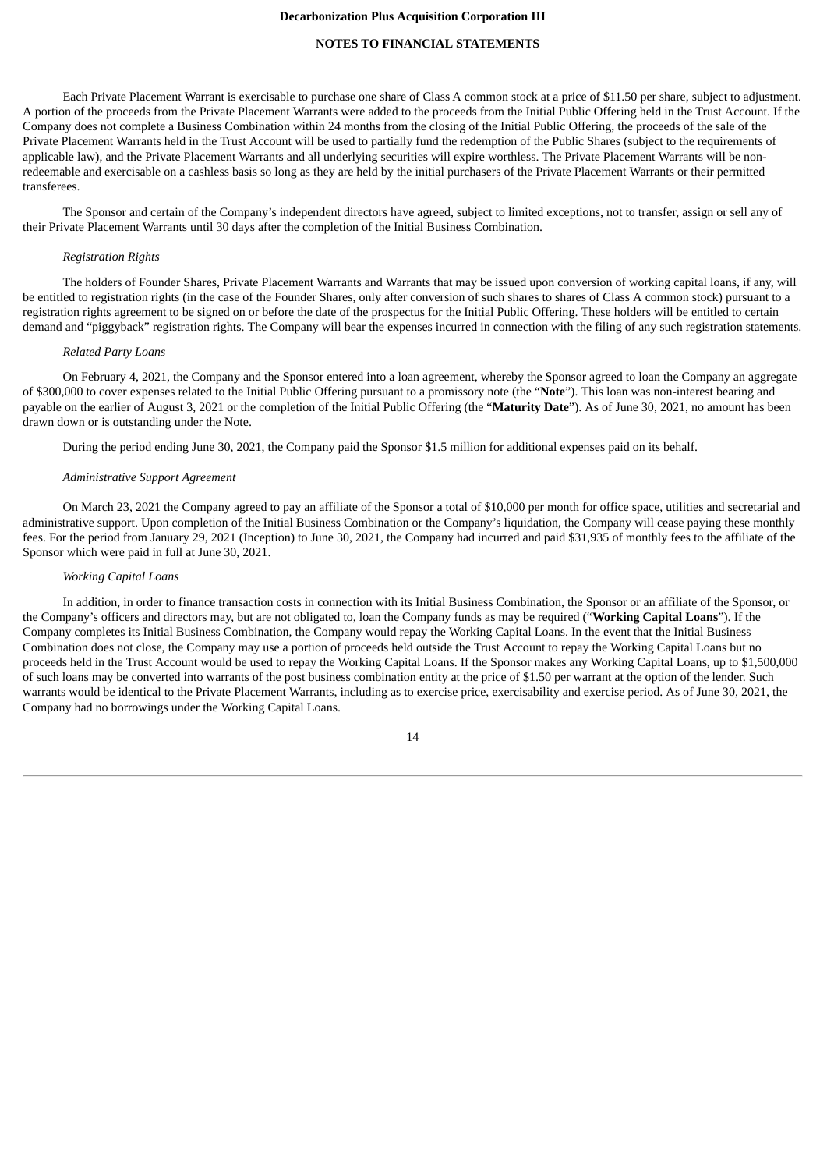## **NOTES TO FINANCIAL STATEMENTS**

Each Private Placement Warrant is exercisable to purchase one share of Class A common stock at a price of \$11.50 per share, subject to adjustment. A portion of the proceeds from the Private Placement Warrants were added to the proceeds from the Initial Public Offering held in the Trust Account. If the Company does not complete a Business Combination within 24 months from the closing of the Initial Public Offering, the proceeds of the sale of the Private Placement Warrants held in the Trust Account will be used to partially fund the redemption of the Public Shares (subject to the requirements of applicable law), and the Private Placement Warrants and all underlying securities will expire worthless. The Private Placement Warrants will be nonredeemable and exercisable on a cashless basis so long as they are held by the initial purchasers of the Private Placement Warrants or their permitted transferees.

The Sponsor and certain of the Company's independent directors have agreed, subject to limited exceptions, not to transfer, assign or sell any of their Private Placement Warrants until 30 days after the completion of the Initial Business Combination.

#### *Registration Rights*

The holders of Founder Shares, Private Placement Warrants and Warrants that may be issued upon conversion of working capital loans, if any, will be entitled to registration rights (in the case of the Founder Shares, only after conversion of such shares to shares of Class A common stock) pursuant to a registration rights agreement to be signed on or before the date of the prospectus for the Initial Public Offering. These holders will be entitled to certain demand and "piggyback" registration rights. The Company will bear the expenses incurred in connection with the filing of any such registration statements.

#### *Related Party Loans*

On February 4, 2021, the Company and the Sponsor entered into a loan agreement, whereby the Sponsor agreed to loan the Company an aggregate of \$300,000 to cover expenses related to the Initial Public Offering pursuant to a promissory note (the "**Note**"). This loan was non-interest bearing and payable on the earlier of August 3, 2021 or the completion of the Initial Public Offering (the "**Maturity Date**"). As of June 30, 2021, no amount has been drawn down or is outstanding under the Note.

During the period ending June 30, 2021, the Company paid the Sponsor \$1.5 million for additional expenses paid on its behalf.

## *Administrative Support Agreement*

On March 23, 2021 the Company agreed to pay an affiliate of the Sponsor a total of \$10,000 per month for office space, utilities and secretarial and administrative support. Upon completion of the Initial Business Combination or the Company's liquidation, the Company will cease paying these monthly fees. For the period from January 29, 2021 (Inception) to June 30, 2021, the Company had incurred and paid \$31,935 of monthly fees to the affiliate of the Sponsor which were paid in full at June 30, 2021.

## *Working Capital Loans*

In addition, in order to finance transaction costs in connection with its Initial Business Combination, the Sponsor or an affiliate of the Sponsor, or the Company's officers and directors may, but are not obligated to, loan the Company funds as may be required ("**Working Capital Loans**"). If the Company completes its Initial Business Combination, the Company would repay the Working Capital Loans. In the event that the Initial Business Combination does not close, the Company may use a portion of proceeds held outside the Trust Account to repay the Working Capital Loans but no proceeds held in the Trust Account would be used to repay the Working Capital Loans. If the Sponsor makes any Working Capital Loans, up to \$1,500,000 of such loans may be converted into warrants of the post business combination entity at the price of \$1.50 per warrant at the option of the lender. Such warrants would be identical to the Private Placement Warrants, including as to exercise price, exercisability and exercise period. As of June 30, 2021, the Company had no borrowings under the Working Capital Loans.

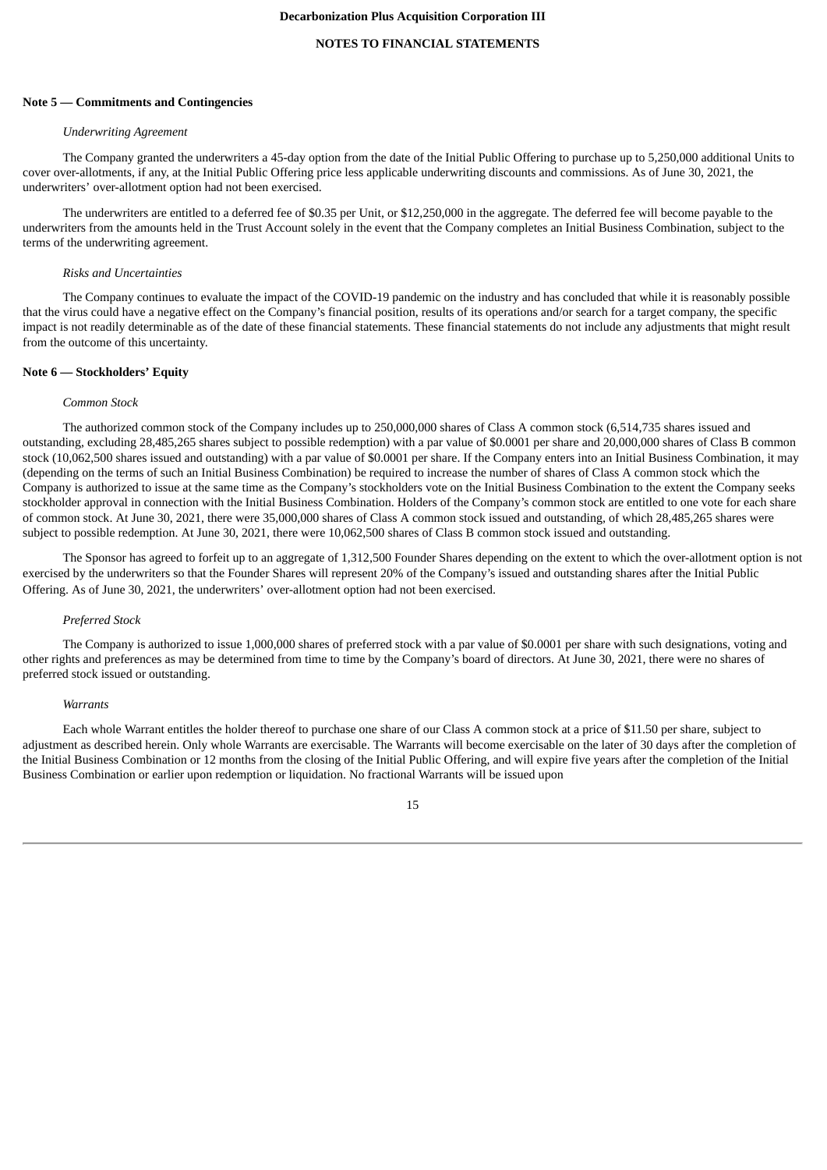## **NOTES TO FINANCIAL STATEMENTS**

### **Note 5 — Commitments and Contingencies**

## *Underwriting Agreement*

The Company granted the underwriters a 45-day option from the date of the Initial Public Offering to purchase up to 5,250,000 additional Units to cover over-allotments, if any, at the Initial Public Offering price less applicable underwriting discounts and commissions. As of June 30, 2021, the underwriters' over-allotment option had not been exercised.

The underwriters are entitled to a deferred fee of \$0.35 per Unit, or \$12,250,000 in the aggregate. The deferred fee will become payable to the underwriters from the amounts held in the Trust Account solely in the event that the Company completes an Initial Business Combination, subject to the terms of the underwriting agreement.

### *Risks and Uncertainties*

The Company continues to evaluate the impact of the COVID-19 pandemic on the industry and has concluded that while it is reasonably possible that the virus could have a negative effect on the Company's financial position, results of its operations and/or search for a target company, the specific impact is not readily determinable as of the date of these financial statements. These financial statements do not include any adjustments that might result from the outcome of this uncertainty.

## **Note 6 — Stockholders' Equity**

#### *Common Stock*

The authorized common stock of the Company includes up to 250,000,000 shares of Class A common stock (6,514,735 shares issued and outstanding, excluding 28,485,265 shares subject to possible redemption) with a par value of \$0.0001 per share and 20,000,000 shares of Class B common stock (10,062,500 shares issued and outstanding) with a par value of \$0.0001 per share. If the Company enters into an Initial Business Combination, it may (depending on the terms of such an Initial Business Combination) be required to increase the number of shares of Class A common stock which the Company is authorized to issue at the same time as the Company's stockholders vote on the Initial Business Combination to the extent the Company seeks stockholder approval in connection with the Initial Business Combination. Holders of the Company's common stock are entitled to one vote for each share of common stock. At June 30, 2021, there were 35,000,000 shares of Class A common stock issued and outstanding, of which 28,485,265 shares were subject to possible redemption. At June 30, 2021, there were 10,062,500 shares of Class B common stock issued and outstanding.

The Sponsor has agreed to forfeit up to an aggregate of 1,312,500 Founder Shares depending on the extent to which the over-allotment option is not exercised by the underwriters so that the Founder Shares will represent 20% of the Company's issued and outstanding shares after the Initial Public Offering. As of June 30, 2021, the underwriters' over-allotment option had not been exercised.

## *Preferred Stock*

The Company is authorized to issue 1,000,000 shares of preferred stock with a par value of \$0.0001 per share with such designations, voting and other rights and preferences as may be determined from time to time by the Company's board of directors. At June 30, 2021, there were no shares of preferred stock issued or outstanding.

#### *Warrants*

Each whole Warrant entitles the holder thereof to purchase one share of our Class A common stock at a price of \$11.50 per share, subject to adjustment as described herein. Only whole Warrants are exercisable. The Warrants will become exercisable on the later of 30 days after the completion of the Initial Business Combination or 12 months from the closing of the Initial Public Offering, and will expire five years after the completion of the Initial Business Combination or earlier upon redemption or liquidation. No fractional Warrants will be issued upon

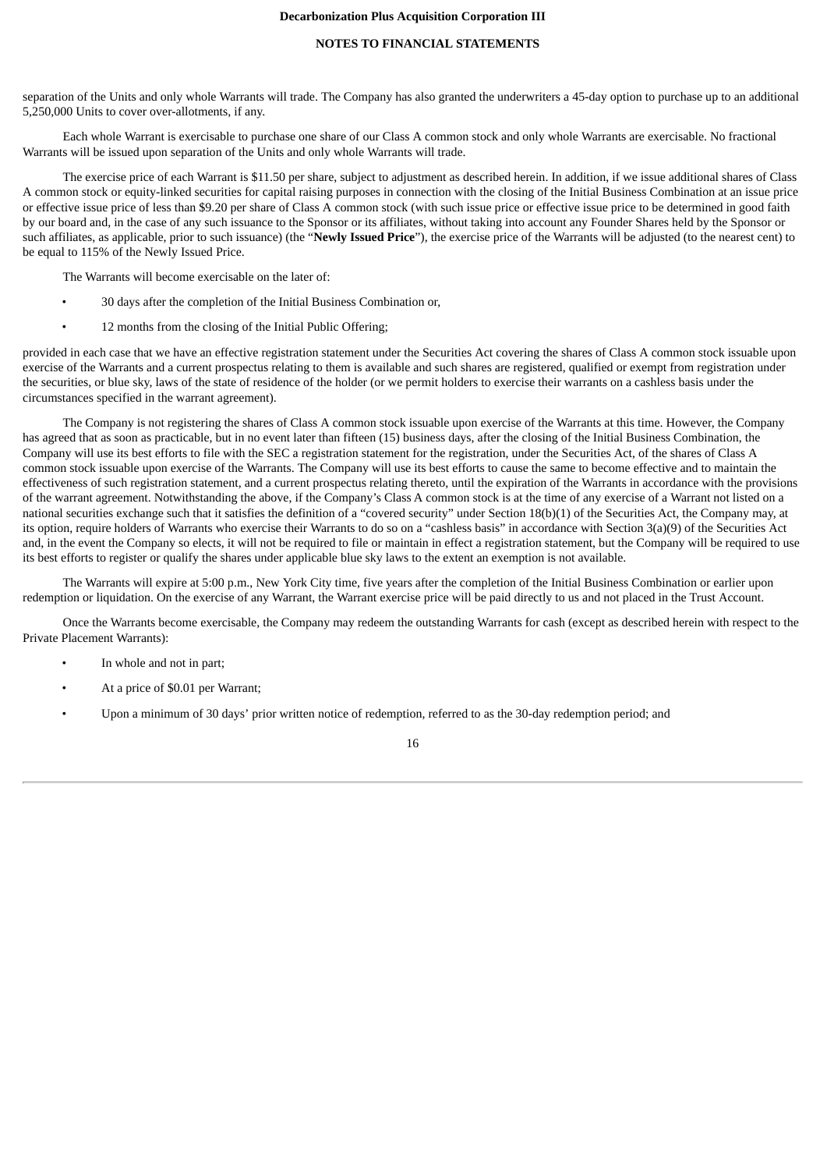## **NOTES TO FINANCIAL STATEMENTS**

separation of the Units and only whole Warrants will trade. The Company has also granted the underwriters a 45-day option to purchase up to an additional 5,250,000 Units to cover over-allotments, if any.

Each whole Warrant is exercisable to purchase one share of our Class A common stock and only whole Warrants are exercisable. No fractional Warrants will be issued upon separation of the Units and only whole Warrants will trade.

The exercise price of each Warrant is \$11.50 per share, subject to adjustment as described herein. In addition, if we issue additional shares of Class A common stock or equity-linked securities for capital raising purposes in connection with the closing of the Initial Business Combination at an issue price or effective issue price of less than \$9.20 per share of Class A common stock (with such issue price or effective issue price to be determined in good faith by our board and, in the case of any such issuance to the Sponsor or its affiliates, without taking into account any Founder Shares held by the Sponsor or such affiliates, as applicable, prior to such issuance) (the "**Newly Issued Price**"), the exercise price of the Warrants will be adjusted (to the nearest cent) to be equal to 115% of the Newly Issued Price.

The Warrants will become exercisable on the later of:

- 30 days after the completion of the Initial Business Combination or,
- 12 months from the closing of the Initial Public Offering;

provided in each case that we have an effective registration statement under the Securities Act covering the shares of Class A common stock issuable upon exercise of the Warrants and a current prospectus relating to them is available and such shares are registered, qualified or exempt from registration under the securities, or blue sky, laws of the state of residence of the holder (or we permit holders to exercise their warrants on a cashless basis under the circumstances specified in the warrant agreement).

The Company is not registering the shares of Class A common stock issuable upon exercise of the Warrants at this time. However, the Company has agreed that as soon as practicable, but in no event later than fifteen (15) business days, after the closing of the Initial Business Combination, the Company will use its best efforts to file with the SEC a registration statement for the registration, under the Securities Act, of the shares of Class A common stock issuable upon exercise of the Warrants. The Company will use its best efforts to cause the same to become effective and to maintain the effectiveness of such registration statement, and a current prospectus relating thereto, until the expiration of the Warrants in accordance with the provisions of the warrant agreement. Notwithstanding the above, if the Company's Class A common stock is at the time of any exercise of a Warrant not listed on a national securities exchange such that it satisfies the definition of a "covered security" under Section 18(b)(1) of the Securities Act, the Company may, at its option, require holders of Warrants who exercise their Warrants to do so on a "cashless basis" in accordance with Section 3(a)(9) of the Securities Act and, in the event the Company so elects, it will not be required to file or maintain in effect a registration statement, but the Company will be required to use its best efforts to register or qualify the shares under applicable blue sky laws to the extent an exemption is not available.

The Warrants will expire at 5:00 p.m., New York City time, five years after the completion of the Initial Business Combination or earlier upon redemption or liquidation. On the exercise of any Warrant, the Warrant exercise price will be paid directly to us and not placed in the Trust Account.

Once the Warrants become exercisable, the Company may redeem the outstanding Warrants for cash (except as described herein with respect to the Private Placement Warrants):

- In whole and not in part:
- At a price of \$0.01 per Warrant;
- Upon a minimum of 30 days' prior written notice of redemption, referred to as the 30-day redemption period; and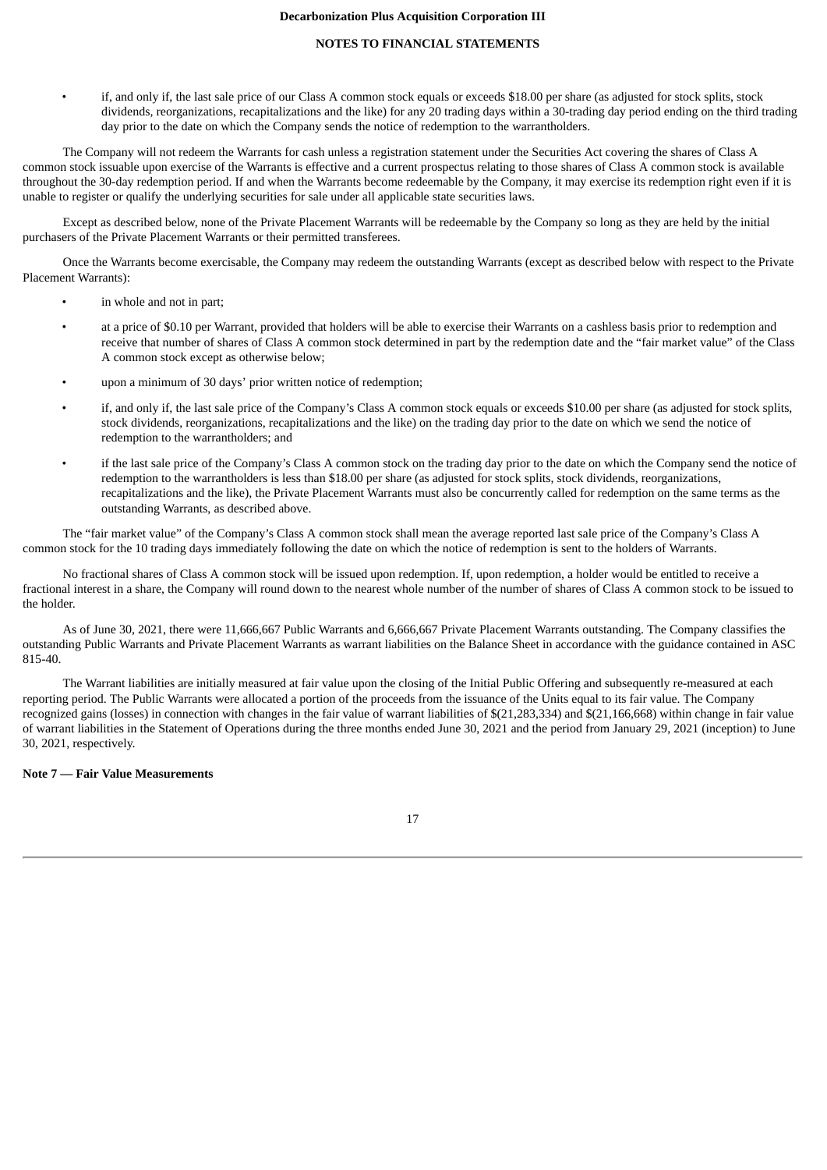### **NOTES TO FINANCIAL STATEMENTS**

• if, and only if, the last sale price of our Class A common stock equals or exceeds \$18.00 per share (as adjusted for stock splits, stock dividends, reorganizations, recapitalizations and the like) for any 20 trading days within a 30-trading day period ending on the third trading day prior to the date on which the Company sends the notice of redemption to the warrantholders.

The Company will not redeem the Warrants for cash unless a registration statement under the Securities Act covering the shares of Class A common stock issuable upon exercise of the Warrants is effective and a current prospectus relating to those shares of Class A common stock is available throughout the 30-day redemption period. If and when the Warrants become redeemable by the Company, it may exercise its redemption right even if it is unable to register or qualify the underlying securities for sale under all applicable state securities laws.

Except as described below, none of the Private Placement Warrants will be redeemable by the Company so long as they are held by the initial purchasers of the Private Placement Warrants or their permitted transferees.

Once the Warrants become exercisable, the Company may redeem the outstanding Warrants (except as described below with respect to the Private Placement Warrants):

- in whole and not in part;
- at a price of \$0.10 per Warrant, provided that holders will be able to exercise their Warrants on a cashless basis prior to redemption and receive that number of shares of Class A common stock determined in part by the redemption date and the "fair market value" of the Class A common stock except as otherwise below;
- upon a minimum of 30 days' prior written notice of redemption;
- if, and only if, the last sale price of the Company's Class A common stock equals or exceeds \$10.00 per share (as adjusted for stock splits, stock dividends, reorganizations, recapitalizations and the like) on the trading day prior to the date on which we send the notice of redemption to the warrantholders; and
- if the last sale price of the Company's Class A common stock on the trading day prior to the date on which the Company send the notice of redemption to the warrantholders is less than \$18.00 per share (as adjusted for stock splits, stock dividends, reorganizations, recapitalizations and the like), the Private Placement Warrants must also be concurrently called for redemption on the same terms as the outstanding Warrants, as described above.

The "fair market value" of the Company's Class A common stock shall mean the average reported last sale price of the Company's Class A common stock for the 10 trading days immediately following the date on which the notice of redemption is sent to the holders of Warrants.

No fractional shares of Class A common stock will be issued upon redemption. If, upon redemption, a holder would be entitled to receive a fractional interest in a share, the Company will round down to the nearest whole number of the number of shares of Class A common stock to be issued to the holder.

As of June 30, 2021, there were 11,666,667 Public Warrants and 6,666,667 Private Placement Warrants outstanding. The Company classifies the outstanding Public Warrants and Private Placement Warrants as warrant liabilities on the Balance Sheet in accordance with the guidance contained in ASC 815-40.

The Warrant liabilities are initially measured at fair value upon the closing of the Initial Public Offering and subsequently re-measured at each reporting period. The Public Warrants were allocated a portion of the proceeds from the issuance of the Units equal to its fair value. The Company recognized gains (losses) in connection with changes in the fair value of warrant liabilities of \$(21,283,334) and \$(21,166,668) within change in fair value of warrant liabilities in the Statement of Operations during the three months ended June 30, 2021 and the period from January 29, 2021 (inception) to June 30, 2021, respectively.

## **Note 7 — Fair Value Measurements**

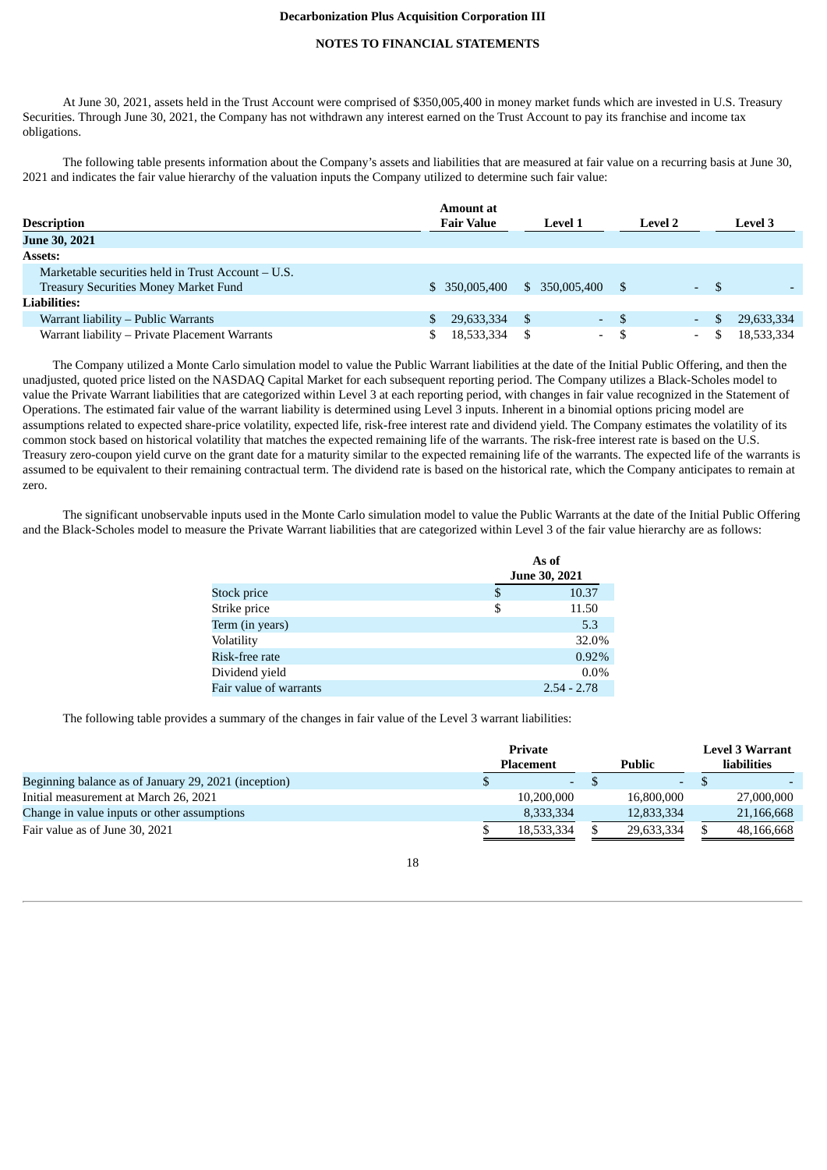## **NOTES TO FINANCIAL STATEMENTS**

At June 30, 2021, assets held in the Trust Account were comprised of \$350,005,400 in money market funds which are invested in U.S. Treasury Securities. Through June 30, 2021, the Company has not withdrawn any interest earned on the Trust Account to pay its franchise and income tax obligations.

The following table presents information about the Company's assets and liabilities that are measured at fair value on a recurring basis at June 30, 2021 and indicates the fair value hierarchy of the valuation inputs the Company utilized to determine such fair value:

| <b>Description</b>                                 | Amount at<br><b>Fair Value</b> | <b>Level 1</b>                 | <b>Level 2</b> |                           | <b>Level</b> 3 |
|----------------------------------------------------|--------------------------------|--------------------------------|----------------|---------------------------|----------------|
| <b>June 30, 2021</b>                               |                                |                                |                |                           |                |
| Assets:                                            |                                |                                |                |                           |                |
| Marketable securities held in Trust Account – U.S. |                                |                                |                |                           |                |
| <b>Treasury Securities Money Market Fund</b>       | \$ 350,005,400                 | \$ 350,005,400                 | - \$           | $\mathcal{S}$<br><b>A</b> |                |
| <b>Liabilities:</b>                                |                                |                                |                |                           |                |
| Warrant liability - Public Warrants                | 29,633,334<br>\$.              | -SI<br>$\sim$                  | - \$           | \$.<br>$\sim$             | 29,633,334     |
| Warrant liability - Private Placement Warrants     | 18,533,334                     | -S<br>$\overline{\phantom{a}}$ | - 5            | $\overline{\phantom{a}}$  | 18,533,334     |

The Company utilized a Monte Carlo simulation model to value the Public Warrant liabilities at the date of the Initial Public Offering, and then the unadjusted, quoted price listed on the NASDAQ Capital Market for each subsequent reporting period. The Company utilizes a Black-Scholes model to value the Private Warrant liabilities that are categorized within Level 3 at each reporting period, with changes in fair value recognized in the Statement of Operations. The estimated fair value of the warrant liability is determined using Level 3 inputs. Inherent in a binomial options pricing model are assumptions related to expected share-price volatility, expected life, risk-free interest rate and dividend yield. The Company estimates the volatility of its common stock based on historical volatility that matches the expected remaining life of the warrants. The risk-free interest rate is based on the U.S. Treasury zero-coupon yield curve on the grant date for a maturity similar to the expected remaining life of the warrants. The expected life of the warrants is assumed to be equivalent to their remaining contractual term. The dividend rate is based on the historical rate, which the Company anticipates to remain at zero.

The significant unobservable inputs used in the Monte Carlo simulation model to value the Public Warrants at the date of the Initial Public Offering and the Black-Scholes model to measure the Private Warrant liabilities that are categorized within Level 3 of the fair value hierarchy are as follows:

|                        |    | As of         |
|------------------------|----|---------------|
|                        |    | June 30, 2021 |
| <b>Stock price</b>     | \$ | 10.37         |
| Strike price           | S  | 11.50         |
| Term (in years)        |    | 5.3           |
| Volatility             |    | 32.0%         |
| Risk-free rate         |    | 0.92%         |
| Dividend yield         |    | $0.0\%$       |
| Fair value of warrants |    | $2.54 - 2.78$ |

The following table provides a summary of the changes in fair value of the Level 3 warrant liabilities:

|                                                      | Private<br><b>Placement</b> | <b>Public</b>            | <b>Level 3 Warrant</b><br><b>liabilities</b> |
|------------------------------------------------------|-----------------------------|--------------------------|----------------------------------------------|
| Beginning balance as of January 29, 2021 (inception) | - 1                         | $\overline{\phantom{0}}$ |                                              |
| Initial measurement at March 26, 2021                | 10,200,000                  | 16,800,000               | 27,000,000                                   |
| Change in value inputs or other assumptions          | 8,333,334                   | 12.833.334               | 21,166,668                                   |
| Fair value as of June 30, 2021                       | 18,533,334                  | 29.633.334               | 48,166,668                                   |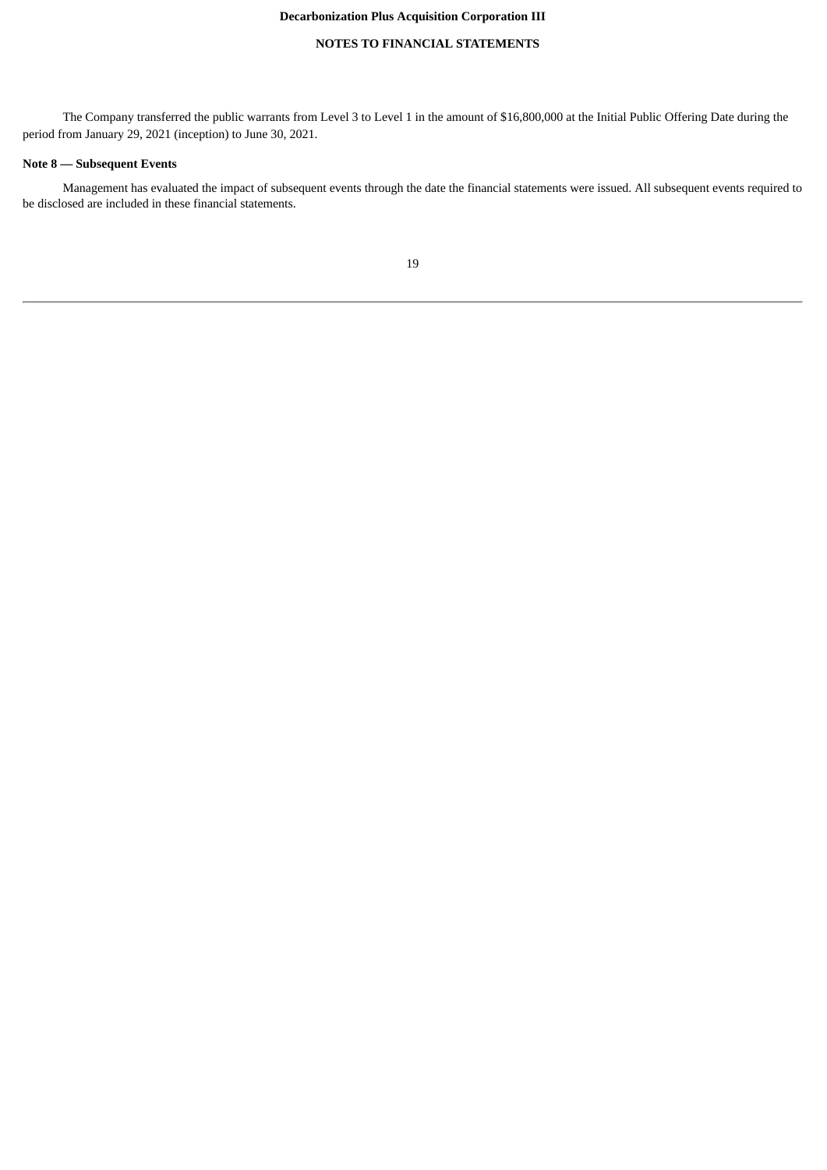## **NOTES TO FINANCIAL STATEMENTS**

The Company transferred the public warrants from Level 3 to Level 1 in the amount of \$16,800,000 at the Initial Public Offering Date during the period from January 29, 2021 (inception) to June 30, 2021.

## **Note 8 — Subsequent Events**

Management has evaluated the impact of subsequent events through the date the financial statements were issued. All subsequent events required to be disclosed are included in these financial statements.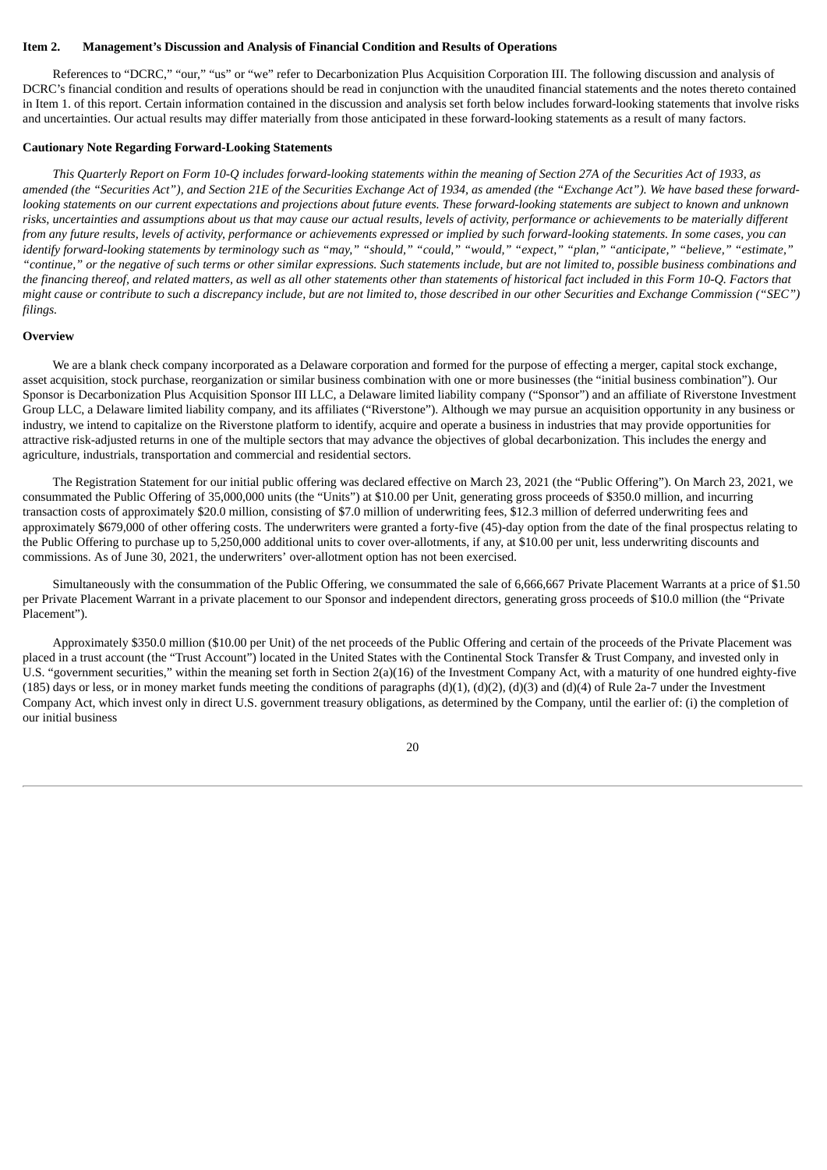#### <span id="page-20-0"></span>**Item 2. Management's Discussion and Analysis of Financial Condition and Results of Operations**

References to "DCRC," "our," "us" or "we" refer to Decarbonization Plus Acquisition Corporation III. The following discussion and analysis of DCRC's financial condition and results of operations should be read in conjunction with the unaudited financial statements and the notes thereto contained in Item 1. of this report. Certain information contained in the discussion and analysis set forth below includes forward-looking statements that involve risks and uncertainties. Our actual results may differ materially from those anticipated in these forward-looking statements as a result of many factors.

#### **Cautionary Note Regarding Forward-Looking Statements**

This Quarterly Report on Form 10-Q includes forward-looking statements within the meaning of Section 27A of the Securities Act of 1933, as amended (the "Securities Act"), and Section 21E of the Securities Exchange Act of 1934, as amended (the "Exchange Act"). We have based these forwardlooking statements on our current expectations and projections about future events. These forward-looking statements are subject to known and unknown risks, uncertainties and assumptions about us that may cause our actual results, levels of activity, performance or achievements to be materially different from any future results, levels of activity, performance or achievements expressed or implied by such forward-looking statements. In some cases, you can identify forward-looking statements by terminology such as "may," "should," "could," "would," "expect," "plan," "anticipate," "believe," "estimate, "continue," or the negative of such terms or other similar expressions. Such statements include, but are not limited to, possible business combinations and the financing thereof, and related matters, as well as all other statements other than statements of historical fact included in this Form 10-Q. Factors that might cause or contribute to such a discrepancy include, but are not limited to, those described in our other Securities and Exchange Commission ("SEC") *filings.*

### **Overview**

We are a blank check company incorporated as a Delaware corporation and formed for the purpose of effecting a merger, capital stock exchange, asset acquisition, stock purchase, reorganization or similar business combination with one or more businesses (the "initial business combination"). Our Sponsor is Decarbonization Plus Acquisition Sponsor III LLC, a Delaware limited liability company ("Sponsor") and an affiliate of Riverstone Investment Group LLC, a Delaware limited liability company, and its affiliates ("Riverstone"). Although we may pursue an acquisition opportunity in any business or industry, we intend to capitalize on the Riverstone platform to identify, acquire and operate a business in industries that may provide opportunities for attractive risk-adjusted returns in one of the multiple sectors that may advance the objectives of global decarbonization. This includes the energy and agriculture, industrials, transportation and commercial and residential sectors.

The Registration Statement for our initial public offering was declared effective on March 23, 2021 (the "Public Offering"). On March 23, 2021, we consummated the Public Offering of 35,000,000 units (the "Units") at \$10.00 per Unit, generating gross proceeds of \$350.0 million, and incurring transaction costs of approximately \$20.0 million, consisting of \$7.0 million of underwriting fees, \$12.3 million of deferred underwriting fees and approximately \$679,000 of other offering costs. The underwriters were granted a forty-five (45)-day option from the date of the final prospectus relating to the Public Offering to purchase up to 5,250,000 additional units to cover over-allotments, if any, at \$10.00 per unit, less underwriting discounts and commissions. As of June 30, 2021, the underwriters' over-allotment option has not been exercised.

Simultaneously with the consummation of the Public Offering, we consummated the sale of 6,666,667 Private Placement Warrants at a price of \$1.50 per Private Placement Warrant in a private placement to our Sponsor and independent directors, generating gross proceeds of \$10.0 million (the "Private Placement").

Approximately \$350.0 million (\$10.00 per Unit) of the net proceeds of the Public Offering and certain of the proceeds of the Private Placement was placed in a trust account (the "Trust Account") located in the United States with the Continental Stock Transfer & Trust Company, and invested only in U.S. "government securities," within the meaning set forth in Section 2(a)(16) of the Investment Company Act, with a maturity of one hundred eighty-five (185) days or less, or in money market funds meeting the conditions of paragraphs (d)(1), (d)(2), (d)(3) and (d)(4) of Rule 2a-7 under the Investment Company Act, which invest only in direct U.S. government treasury obligations, as determined by the Company, until the earlier of: (i) the completion of our initial business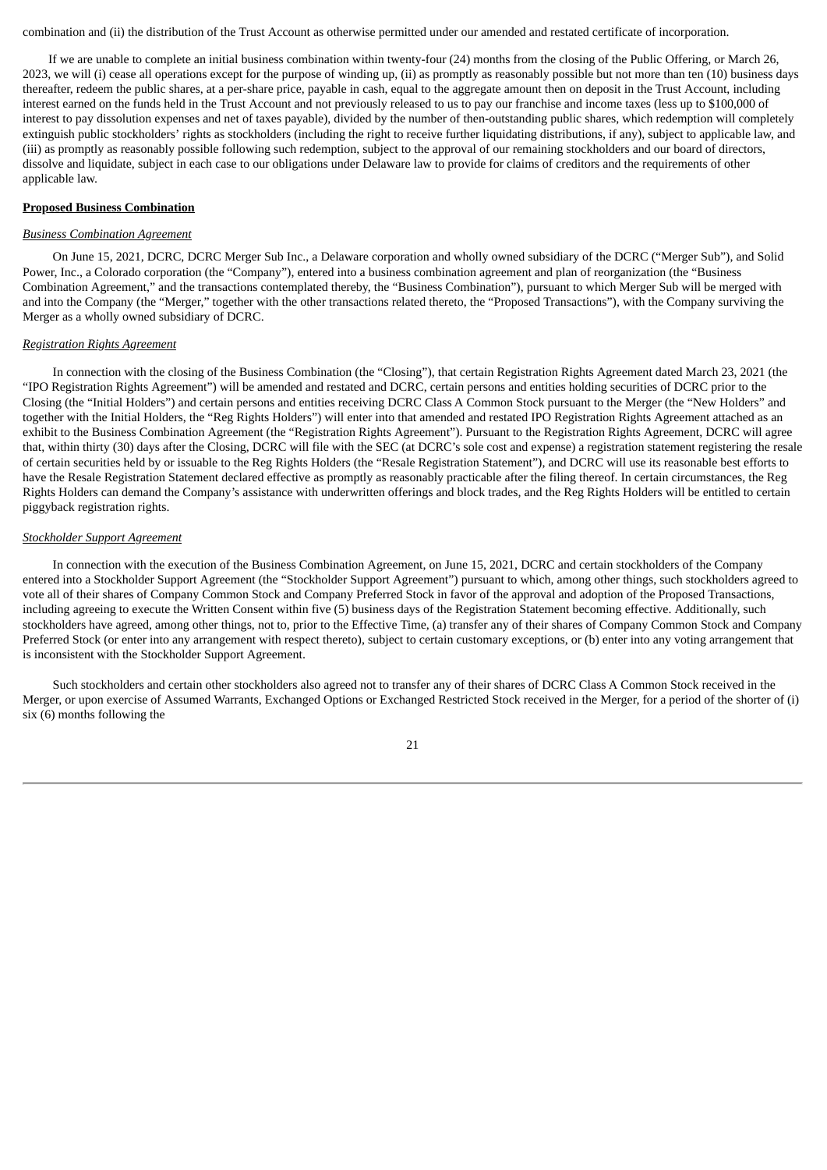combination and (ii) the distribution of the Trust Account as otherwise permitted under our amended and restated certificate of incorporation.

If we are unable to complete an initial business combination within twenty-four (24) months from the closing of the Public Offering, or March 26, 2023, we will (i) cease all operations except for the purpose of winding up, (ii) as promptly as reasonably possible but not more than ten (10) business days thereafter, redeem the public shares, at a per-share price, payable in cash, equal to the aggregate amount then on deposit in the Trust Account, including interest earned on the funds held in the Trust Account and not previously released to us to pay our franchise and income taxes (less up to \$100,000 of interest to pay dissolution expenses and net of taxes payable), divided by the number of then-outstanding public shares, which redemption will completely extinguish public stockholders' rights as stockholders (including the right to receive further liquidating distributions, if any), subject to applicable law, and (iii) as promptly as reasonably possible following such redemption, subject to the approval of our remaining stockholders and our board of directors, dissolve and liquidate, subject in each case to our obligations under Delaware law to provide for claims of creditors and the requirements of other applicable law.

## **Proposed Business Combination**

### *Business Combination Agreement*

On June 15, 2021, DCRC, DCRC Merger Sub Inc., a Delaware corporation and wholly owned subsidiary of the DCRC ("Merger Sub"), and Solid Power, Inc., a Colorado corporation (the "Company"), entered into a business combination agreement and plan of reorganization (the "Business Combination Agreement," and the transactions contemplated thereby, the "Business Combination"), pursuant to which Merger Sub will be merged with and into the Company (the "Merger," together with the other transactions related thereto, the "Proposed Transactions"), with the Company surviving the Merger as a wholly owned subsidiary of DCRC.

#### *Registration Rights Agreement*

In connection with the closing of the Business Combination (the "Closing"), that certain Registration Rights Agreement dated March 23, 2021 (the "IPO Registration Rights Agreement") will be amended and restated and DCRC, certain persons and entities holding securities of DCRC prior to the Closing (the "Initial Holders") and certain persons and entities receiving DCRC Class A Common Stock pursuant to the Merger (the "New Holders" and together with the Initial Holders, the "Reg Rights Holders") will enter into that amended and restated IPO Registration Rights Agreement attached as an exhibit to the Business Combination Agreement (the "Registration Rights Agreement"). Pursuant to the Registration Rights Agreement, DCRC will agree that, within thirty (30) days after the Closing, DCRC will file with the SEC (at DCRC's sole cost and expense) a registration statement registering the resale of certain securities held by or issuable to the Reg Rights Holders (the "Resale Registration Statement"), and DCRC will use its reasonable best efforts to have the Resale Registration Statement declared effective as promptly as reasonably practicable after the filing thereof. In certain circumstances, the Reg Rights Holders can demand the Company's assistance with underwritten offerings and block trades, and the Reg Rights Holders will be entitled to certain piggyback registration rights.

#### *Stockholder Support Agreement*

In connection with the execution of the Business Combination Agreement, on June 15, 2021, DCRC and certain stockholders of the Company entered into a Stockholder Support Agreement (the "Stockholder Support Agreement") pursuant to which, among other things, such stockholders agreed to vote all of their shares of Company Common Stock and Company Preferred Stock in favor of the approval and adoption of the Proposed Transactions, including agreeing to execute the Written Consent within five (5) business days of the Registration Statement becoming effective. Additionally, such stockholders have agreed, among other things, not to, prior to the Effective Time, (a) transfer any of their shares of Company Common Stock and Company Preferred Stock (or enter into any arrangement with respect thereto), subject to certain customary exceptions, or (b) enter into any voting arrangement that is inconsistent with the Stockholder Support Agreement.

Such stockholders and certain other stockholders also agreed not to transfer any of their shares of DCRC Class A Common Stock received in the Merger, or upon exercise of Assumed Warrants, Exchanged Options or Exchanged Restricted Stock received in the Merger, for a period of the shorter of (i) six (6) months following the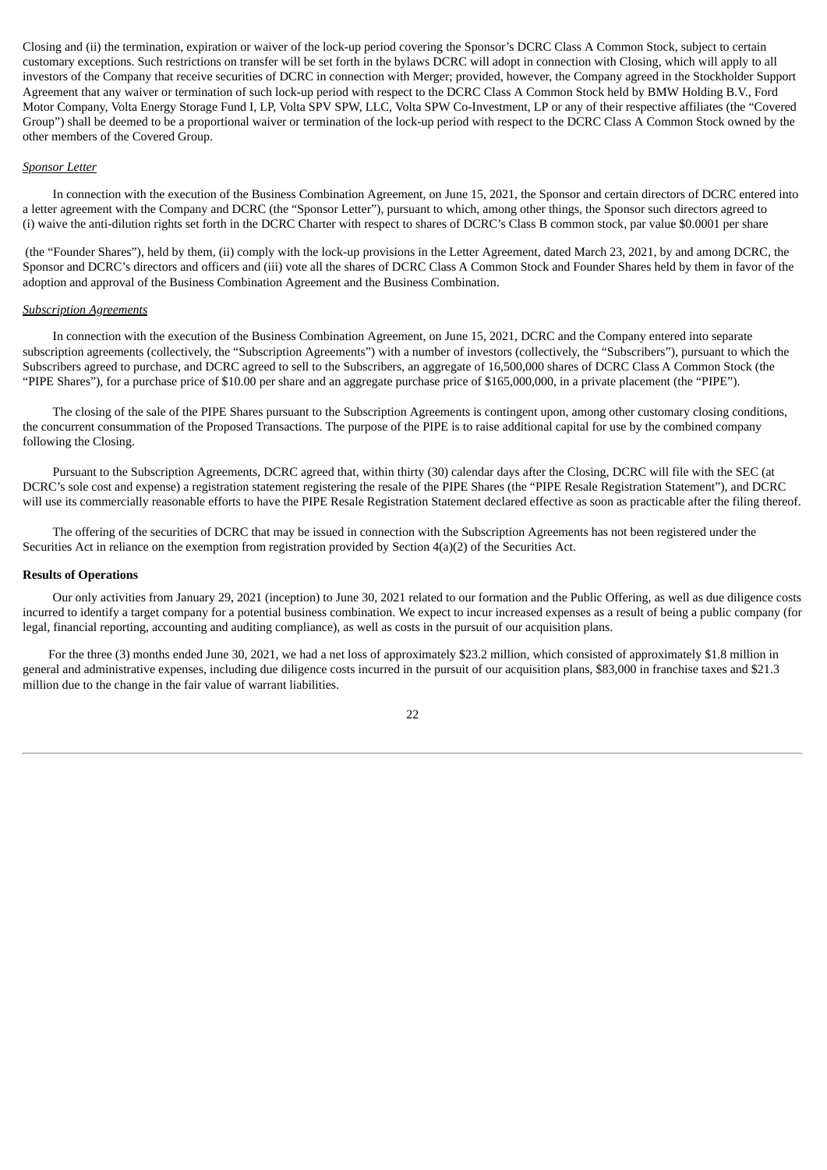Closing and (ii) the termination, expiration or waiver of the lock-up period covering the Sponsor's DCRC Class A Common Stock, subject to certain customary exceptions. Such restrictions on transfer will be set forth in the bylaws DCRC will adopt in connection with Closing, which will apply to all investors of the Company that receive securities of DCRC in connection with Merger; provided, however, the Company agreed in the Stockholder Support Agreement that any waiver or termination of such lock-up period with respect to the DCRC Class A Common Stock held by BMW Holding B.V., Ford Motor Company, Volta Energy Storage Fund I, LP, Volta SPV SPW, LLC, Volta SPW Co-Investment, LP or any of their respective affiliates (the "Covered Group") shall be deemed to be a proportional waiver or termination of the lock-up period with respect to the DCRC Class A Common Stock owned by the other members of the Covered Group.

#### *Sponsor Letter*

In connection with the execution of the Business Combination Agreement, on June 15, 2021, the Sponsor and certain directors of DCRC entered into a letter agreement with the Company and DCRC (the "Sponsor Letter"), pursuant to which, among other things, the Sponsor such directors agreed to (i) waive the anti-dilution rights set forth in the DCRC Charter with respect to shares of DCRC's Class B common stock, par value \$0.0001 per share

(the "Founder Shares"), held by them, (ii) comply with the lock-up provisions in the Letter Agreement, dated March 23, 2021, by and among DCRC, the Sponsor and DCRC's directors and officers and (iii) vote all the shares of DCRC Class A Common Stock and Founder Shares held by them in favor of the adoption and approval of the Business Combination Agreement and the Business Combination.

#### *Subscription Agreements*

In connection with the execution of the Business Combination Agreement, on June 15, 2021, DCRC and the Company entered into separate subscription agreements (collectively, the "Subscription Agreements") with a number of investors (collectively, the "Subscribers"), pursuant to which the Subscribers agreed to purchase, and DCRC agreed to sell to the Subscribers, an aggregate of 16,500,000 shares of DCRC Class A Common Stock (the "PIPE Shares"), for a purchase price of \$10.00 per share and an aggregate purchase price of \$165,000,000, in a private placement (the "PIPE").

The closing of the sale of the PIPE Shares pursuant to the Subscription Agreements is contingent upon, among other customary closing conditions, the concurrent consummation of the Proposed Transactions. The purpose of the PIPE is to raise additional capital for use by the combined company following the Closing.

Pursuant to the Subscription Agreements, DCRC agreed that, within thirty (30) calendar days after the Closing, DCRC will file with the SEC (at DCRC's sole cost and expense) a registration statement registering the resale of the PIPE Shares (the "PIPE Resale Registration Statement"), and DCRC will use its commercially reasonable efforts to have the PIPE Resale Registration Statement declared effective as soon as practicable after the filing thereof.

The offering of the securities of DCRC that may be issued in connection with the Subscription Agreements has not been registered under the Securities Act in reliance on the exemption from registration provided by Section 4(a)(2) of the Securities Act.

#### **Results of Operations**

Our only activities from January 29, 2021 (inception) to June 30, 2021 related to our formation and the Public Offering, as well as due diligence costs incurred to identify a target company for a potential business combination. We expect to incur increased expenses as a result of being a public company (for legal, financial reporting, accounting and auditing compliance), as well as costs in the pursuit of our acquisition plans.

For the three (3) months ended June 30, 2021, we had a net loss of approximately \$23.2 million, which consisted of approximately \$1.8 million in general and administrative expenses, including due diligence costs incurred in the pursuit of our acquisition plans, \$83,000 in franchise taxes and \$21.3 million due to the change in the fair value of warrant liabilities.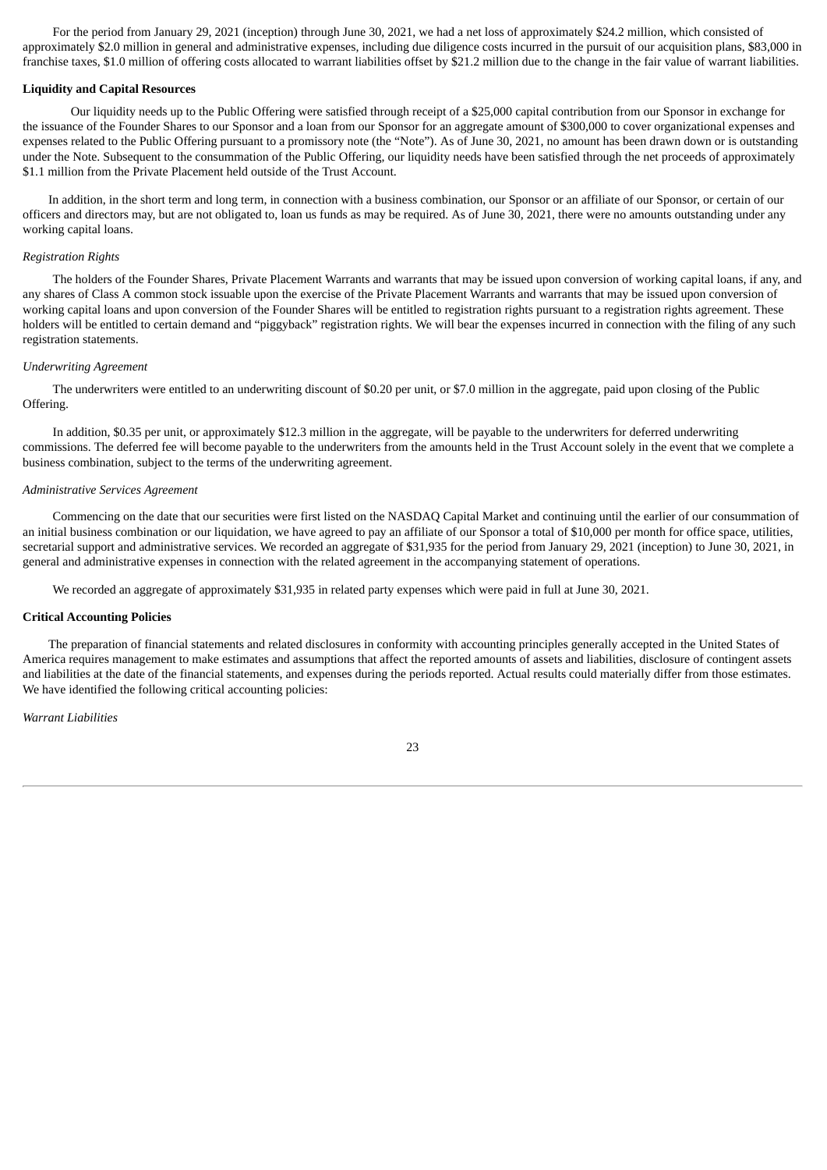For the period from January 29, 2021 (inception) through June 30, 2021, we had a net loss of approximately \$24.2 million, which consisted of approximately \$2.0 million in general and administrative expenses, including due diligence costs incurred in the pursuit of our acquisition plans, \$83,000 in franchise taxes, \$1.0 million of offering costs allocated to warrant liabilities offset by \$21.2 million due to the change in the fair value of warrant liabilities.

## **Liquidity and Capital Resources**

Our liquidity needs up to the Public Offering were satisfied through receipt of a \$25,000 capital contribution from our Sponsor in exchange for the issuance of the Founder Shares to our Sponsor and a loan from our Sponsor for an aggregate amount of \$300,000 to cover organizational expenses and expenses related to the Public Offering pursuant to a promissory note (the "Note"). As of June 30, 2021, no amount has been drawn down or is outstanding under the Note. Subsequent to the consummation of the Public Offering, our liquidity needs have been satisfied through the net proceeds of approximately \$1.1 million from the Private Placement held outside of the Trust Account.

In addition, in the short term and long term, in connection with a business combination, our Sponsor or an affiliate of our Sponsor, or certain of our officers and directors may, but are not obligated to, loan us funds as may be required. As of June 30, 2021, there were no amounts outstanding under any working capital loans.

## *Registration Rights*

The holders of the Founder Shares, Private Placement Warrants and warrants that may be issued upon conversion of working capital loans, if any, and any shares of Class A common stock issuable upon the exercise of the Private Placement Warrants and warrants that may be issued upon conversion of working capital loans and upon conversion of the Founder Shares will be entitled to registration rights pursuant to a registration rights agreement. These holders will be entitled to certain demand and "piggyback" registration rights. We will bear the expenses incurred in connection with the filing of any such registration statements.

### *Underwriting Agreement*

The underwriters were entitled to an underwriting discount of \$0.20 per unit, or \$7.0 million in the aggregate, paid upon closing of the Public Offering.

In addition, \$0.35 per unit, or approximately \$12.3 million in the aggregate, will be payable to the underwriters for deferred underwriting commissions. The deferred fee will become payable to the underwriters from the amounts held in the Trust Account solely in the event that we complete a business combination, subject to the terms of the underwriting agreement.

#### *Administrative Services Agreement*

Commencing on the date that our securities were first listed on the NASDAQ Capital Market and continuing until the earlier of our consummation of an initial business combination or our liquidation, we have agreed to pay an affiliate of our Sponsor a total of \$10,000 per month for office space, utilities, secretarial support and administrative services. We recorded an aggregate of \$31,935 for the period from January 29, 2021 (inception) to June 30, 2021, in general and administrative expenses in connection with the related agreement in the accompanying statement of operations.

We recorded an aggregate of approximately \$31,935 in related party expenses which were paid in full at June 30, 2021.

## **Critical Accounting Policies**

The preparation of financial statements and related disclosures in conformity with accounting principles generally accepted in the United States of America requires management to make estimates and assumptions that affect the reported amounts of assets and liabilities, disclosure of contingent assets and liabilities at the date of the financial statements, and expenses during the periods reported. Actual results could materially differ from those estimates. We have identified the following critical accounting policies:

*Warrant Liabilities*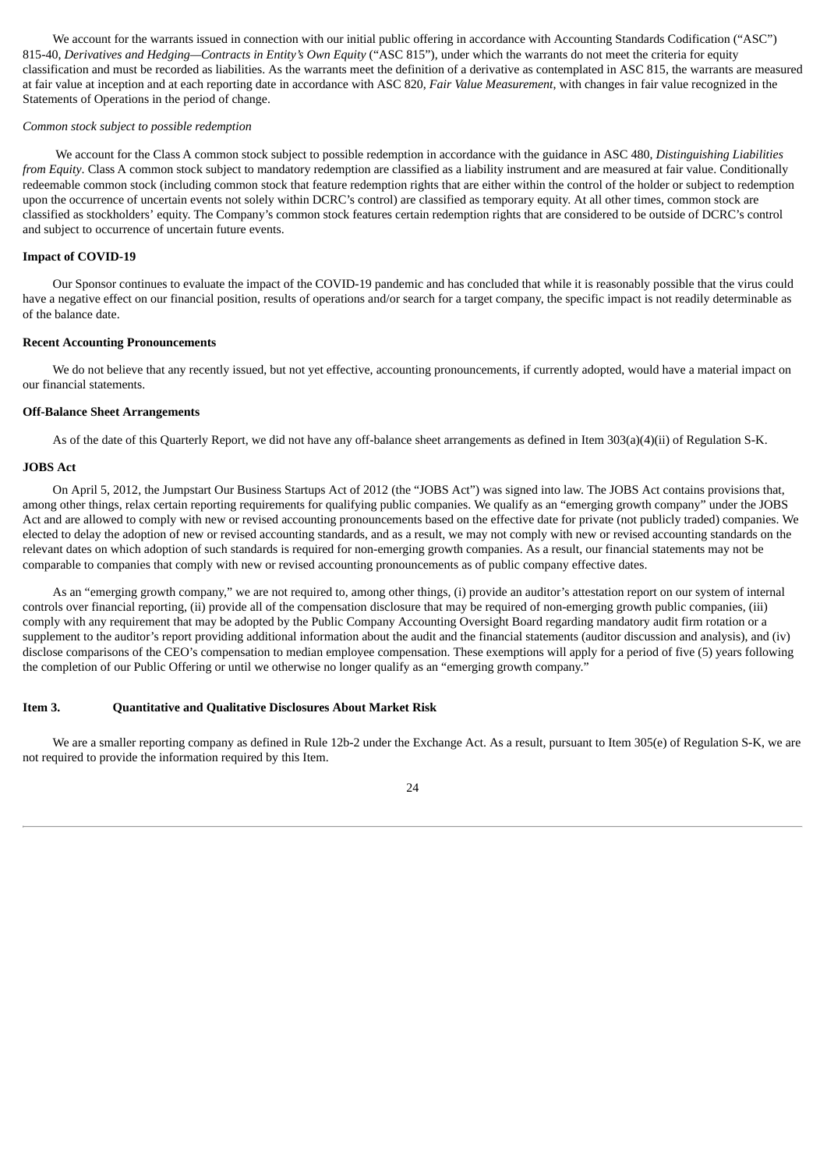We account for the warrants issued in connection with our initial public offering in accordance with Accounting Standards Codification ("ASC") 815-40, *Derivatives and Hedging—Contracts in Entity's Own Equity* ("ASC 815"), under which the warrants do not meet the criteria for equity classification and must be recorded as liabilities. As the warrants meet the definition of a derivative as contemplated in ASC 815, the warrants are measured at fair value at inception and at each reporting date in accordance with ASC 820, *Fair Value Measurement*, with changes in fair value recognized in the Statements of Operations in the period of change.

#### *Common stock subject to possible redemption*

We account for the Class A common stock subject to possible redemption in accordance with the guidance in ASC 480, *Distinguishing Liabilities from Equity*. Class A common stock subject to mandatory redemption are classified as a liability instrument and are measured at fair value. Conditionally redeemable common stock (including common stock that feature redemption rights that are either within the control of the holder or subject to redemption upon the occurrence of uncertain events not solely within DCRC's control) are classified as temporary equity. At all other times, common stock are classified as stockholders' equity. The Company's common stock features certain redemption rights that are considered to be outside of DCRC's control and subject to occurrence of uncertain future events.

### **Impact of COVID-19**

Our Sponsor continues to evaluate the impact of the COVID-19 pandemic and has concluded that while it is reasonably possible that the virus could have a negative effect on our financial position, results of operations and/or search for a target company, the specific impact is not readily determinable as of the balance date.

## **Recent Accounting Pronouncements**

We do not believe that any recently issued, but not yet effective, accounting pronouncements, if currently adopted, would have a material impact on our financial statements.

#### **Off-Balance Sheet Arrangements**

As of the date of this Quarterly Report, we did not have any off-balance sheet arrangements as defined in Item 303(a)(4)(ii) of Regulation S-K.

## **JOBS Act**

On April 5, 2012, the Jumpstart Our Business Startups Act of 2012 (the "JOBS Act") was signed into law. The JOBS Act contains provisions that, among other things, relax certain reporting requirements for qualifying public companies. We qualify as an "emerging growth company" under the JOBS Act and are allowed to comply with new or revised accounting pronouncements based on the effective date for private (not publicly traded) companies. We elected to delay the adoption of new or revised accounting standards, and as a result, we may not comply with new or revised accounting standards on the relevant dates on which adoption of such standards is required for non-emerging growth companies. As a result, our financial statements may not be comparable to companies that comply with new or revised accounting pronouncements as of public company effective dates.

As an "emerging growth company," we are not required to, among other things, (i) provide an auditor's attestation report on our system of internal controls over financial reporting, (ii) provide all of the compensation disclosure that may be required of non-emerging growth public companies, (iii) comply with any requirement that may be adopted by the Public Company Accounting Oversight Board regarding mandatory audit firm rotation or a supplement to the auditor's report providing additional information about the audit and the financial statements (auditor discussion and analysis), and (iv) disclose comparisons of the CEO's compensation to median employee compensation. These exemptions will apply for a period of five (5) years following the completion of our Public Offering or until we otherwise no longer qualify as an "emerging growth company."

## <span id="page-24-0"></span>**Item 3. Quantitative and Qualitative Disclosures About Market Risk**

We are a smaller reporting company as defined in Rule 12b-2 under the Exchange Act. As a result, pursuant to Item 305(e) of Regulation S-K, we are not required to provide the information required by this Item.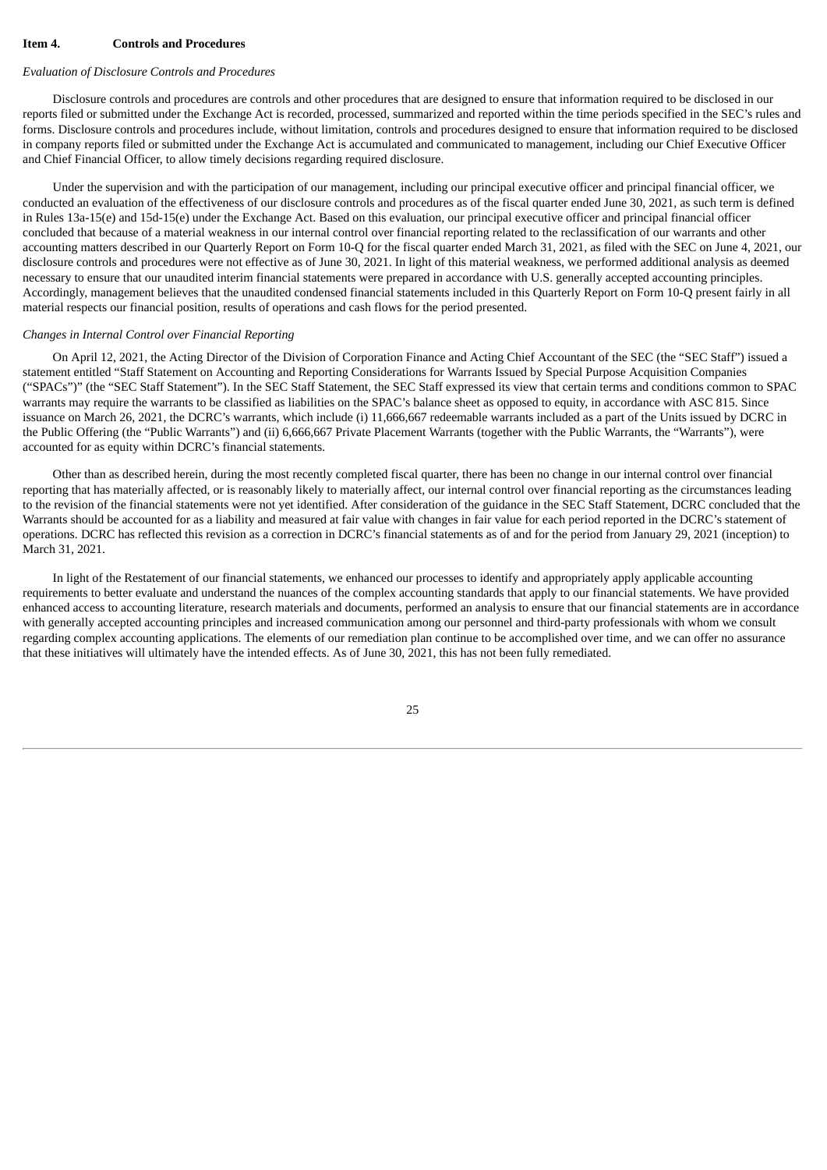### <span id="page-25-0"></span>**Item 4. Controls and Procedures**

#### *Evaluation of Disclosure Controls and Procedures*

Disclosure controls and procedures are controls and other procedures that are designed to ensure that information required to be disclosed in our reports filed or submitted under the Exchange Act is recorded, processed, summarized and reported within the time periods specified in the SEC's rules and forms. Disclosure controls and procedures include, without limitation, controls and procedures designed to ensure that information required to be disclosed in company reports filed or submitted under the Exchange Act is accumulated and communicated to management, including our Chief Executive Officer and Chief Financial Officer, to allow timely decisions regarding required disclosure.

Under the supervision and with the participation of our management, including our principal executive officer and principal financial officer, we conducted an evaluation of the effectiveness of our disclosure controls and procedures as of the fiscal quarter ended June 30, 2021, as such term is defined in Rules 13a-15(e) and 15d-15(e) under the Exchange Act. Based on this evaluation, our principal executive officer and principal financial officer concluded that because of a material weakness in our internal control over financial reporting related to the reclassification of our warrants and other accounting matters described in our Quarterly Report on Form 10-Q for the fiscal quarter ended March 31, 2021, as filed with the SEC on June 4, 2021, our disclosure controls and procedures were not effective as of June 30, 2021. In light of this material weakness, we performed additional analysis as deemed necessary to ensure that our unaudited interim financial statements were prepared in accordance with U.S. generally accepted accounting principles. Accordingly, management believes that the unaudited condensed financial statements included in this Quarterly Report on Form 10-Q present fairly in all material respects our financial position, results of operations and cash flows for the period presented.

#### *Changes in Internal Control over Financial Reporting*

On April 12, 2021, the Acting Director of the Division of Corporation Finance and Acting Chief Accountant of the SEC (the "SEC Staff") issued a statement entitled "Staff Statement on Accounting and Reporting Considerations for Warrants Issued by Special Purpose Acquisition Companies ("SPACs")" (the "SEC Staff Statement"). In the SEC Staff Statement, the SEC Staff expressed its view that certain terms and conditions common to SPAC warrants may require the warrants to be classified as liabilities on the SPAC's balance sheet as opposed to equity, in accordance with ASC 815. Since issuance on March 26, 2021, the DCRC's warrants, which include (i) 11,666,667 redeemable warrants included as a part of the Units issued by DCRC in the Public Offering (the "Public Warrants") and (ii) 6,666,667 Private Placement Warrants (together with the Public Warrants, the "Warrants"), were accounted for as equity within DCRC's financial statements.

Other than as described herein, during the most recently completed fiscal quarter, there has been no change in our internal control over financial reporting that has materially affected, or is reasonably likely to materially affect, our internal control over financial reporting as the circumstances leading to the revision of the financial statements were not yet identified. After consideration of the guidance in the SEC Staff Statement, DCRC concluded that the Warrants should be accounted for as a liability and measured at fair value with changes in fair value for each period reported in the DCRC's statement of operations. DCRC has reflected this revision as a correction in DCRC's financial statements as of and for the period from January 29, 2021 (inception) to March 31, 2021.

In light of the Restatement of our financial statements, we enhanced our processes to identify and appropriately apply applicable accounting requirements to better evaluate and understand the nuances of the complex accounting standards that apply to our financial statements. We have provided enhanced access to accounting literature, research materials and documents, performed an analysis to ensure that our financial statements are in accordance with generally accepted accounting principles and increased communication among our personnel and third-party professionals with whom we consult regarding complex accounting applications. The elements of our remediation plan continue to be accomplished over time, and we can offer no assurance that these initiatives will ultimately have the intended effects. As of June 30, 2021, this has not been fully remediated.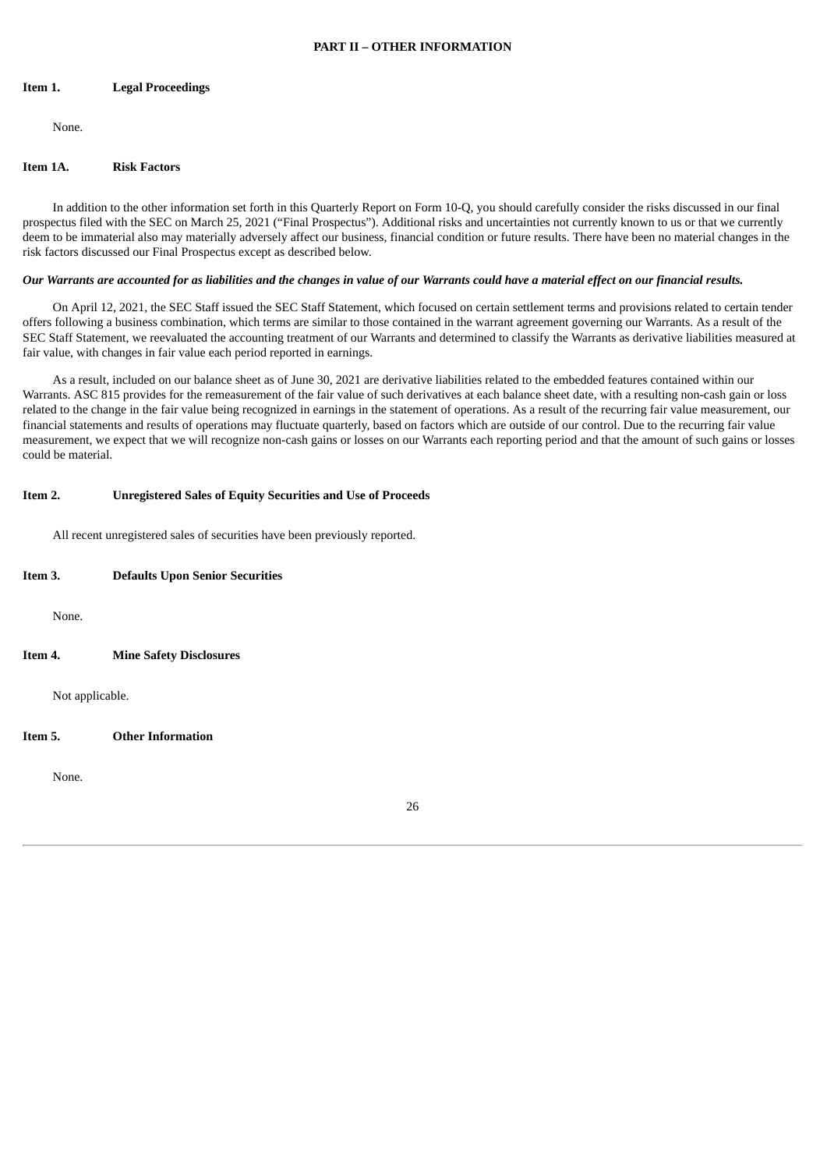## <span id="page-26-0"></span>**Item 1. Legal Proceedings**

<span id="page-26-2"></span><span id="page-26-1"></span>None.

## **Item 1A. Risk Factors**

In addition to the other information set forth in this Quarterly Report on Form 10-Q, you should carefully consider the risks discussed in our final prospectus filed with the SEC on March 25, 2021 ("Final Prospectus"). Additional risks and uncertainties not currently known to us or that we currently deem to be immaterial also may materially adversely affect our business, financial condition or future results. There have been no material changes in the risk factors discussed our Final Prospectus except as described below.

## Our Warrants are accounted for as liabilities and the changes in value of our Warrants could have a material effect on our financial results.

On April 12, 2021, the SEC Staff issued the SEC Staff Statement, which focused on certain settlement terms and provisions related to certain tender offers following a business combination, which terms are similar to those contained in the warrant agreement governing our Warrants. As a result of the SEC Staff Statement, we reevaluated the accounting treatment of our Warrants and determined to classify the Warrants as derivative liabilities measured at fair value, with changes in fair value each period reported in earnings.

As a result, included on our balance sheet as of June 30, 2021 are derivative liabilities related to the embedded features contained within our Warrants. ASC 815 provides for the remeasurement of the fair value of such derivatives at each balance sheet date, with a resulting non-cash gain or loss related to the change in the fair value being recognized in earnings in the statement of operations. As a result of the recurring fair value measurement, our financial statements and results of operations may fluctuate quarterly, based on factors which are outside of our control. Due to the recurring fair value measurement, we expect that we will recognize non-cash gains or losses on our Warrants each reporting period and that the amount of such gains or losses could be material.

## **Item 2. Unregistered Sales of Equity Securities and Use of Proceeds**

<span id="page-26-3"></span>All recent unregistered sales of securities have been previously reported.

## **Item 3. Defaults Upon Senior Securities**

<span id="page-26-5"></span><span id="page-26-4"></span>None.

## **Item 4. Mine Safety Disclosures**

<span id="page-26-6"></span>Not applicable.

## **Item 5. Other Information**

None.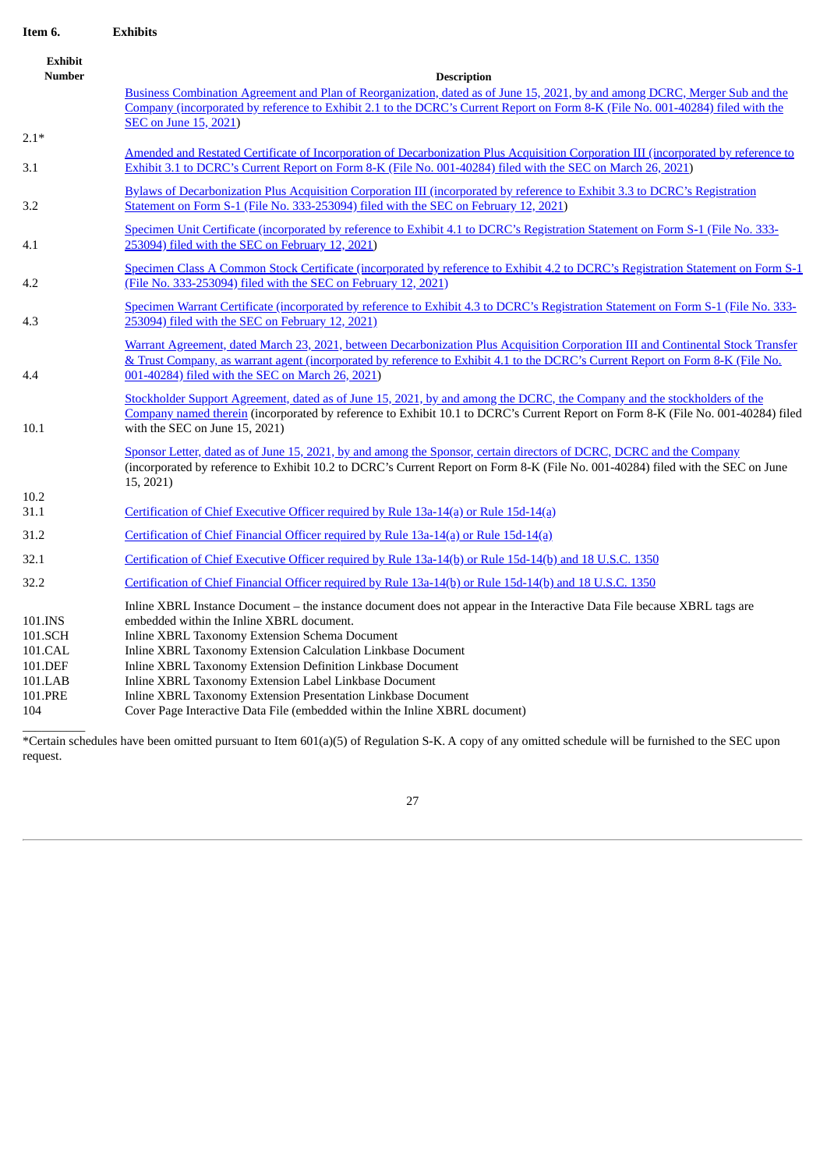<span id="page-27-0"></span>

| Item 6.                                  | <b>Exhibits</b>                                                                                                                                                                                                                                                                                                                                        |
|------------------------------------------|--------------------------------------------------------------------------------------------------------------------------------------------------------------------------------------------------------------------------------------------------------------------------------------------------------------------------------------------------------|
| <b>Exhibit</b><br><b>Number</b>          | <b>Description</b>                                                                                                                                                                                                                                                                                                                                     |
|                                          | Business Combination Agreement and Plan of Reorganization, dated as of June 15, 2021, by and among DCRC, Merger Sub and the<br>Company (incorporated by reference to Exhibit 2.1 to the DCRC's Current Report on Form 8-K (File No. 001-40284) filed with the<br><b>SEC on June 15, 2021)</b>                                                          |
| $2.1*$                                   |                                                                                                                                                                                                                                                                                                                                                        |
| 3.1                                      | Amended and Restated Certificate of Incorporation of Decarbonization Plus Acquisition Corporation III (incorporated by reference to<br>Exhibit 3.1 to DCRC's Current Report on Form 8-K (File No. 001-40284) filed with the SEC on March 26, 2021)                                                                                                     |
| 3.2                                      | Bylaws of Decarbonization Plus Acquisition Corporation III (incorporated by reference to Exhibit 3.3 to DCRC's Registration<br>Statement on Form S-1 (File No. 333-253094) filed with the SEC on February 12, 2021)                                                                                                                                    |
| 4.1                                      | Specimen Unit Certificate (incorporated by reference to Exhibit 4.1 to DCRC's Registration Statement on Form S-1 (File No. 333-<br>253094) filed with the SEC on February 12, 2021)                                                                                                                                                                    |
| 4.2                                      | Specimen Class A Common Stock Certificate (incorporated by reference to Exhibit 4.2 to DCRC's Registration Statement on Form S-1<br>(File No. 333-253094) filed with the SEC on February 12, 2021).                                                                                                                                                    |
| 4.3                                      | Specimen Warrant Certificate (incorporated by reference to Exhibit 4.3 to DCRC's Registration Statement on Form S-1 (File No. 333-<br>253094) filed with the SEC on February 12, 2021)                                                                                                                                                                 |
| 4.4                                      | Warrant Agreement, dated March 23, 2021, between Decarbonization Plus Acquisition Corporation III and Continental Stock Transfer<br>& Trust Company, as warrant agent (incorporated by reference to Exhibit 4.1 to the DCRC's Current Report on Form 8-K (File No.<br>001-40284) filed with the SEC on March 26, 2021)                                 |
| 10.1                                     | Stockholder Support Agreement, dated as of June 15, 2021, by and among the DCRC, the Company and the stockholders of the<br>Company named therein (incorporated by reference to Exhibit 10.1 to DCRC's Current Report on Form 8-K (File No. 001-40284) filed<br>with the SEC on June 15, 2021)                                                         |
|                                          | Sponsor Letter, dated as of June 15, 2021, by and among the Sponsor, certain directors of DCRC, DCRC and the Company<br>(incorporated by reference to Exhibit 10.2 to DCRC's Current Report on Form 8-K (File No. 001-40284) filed with the SEC on June<br>15, 2021)                                                                                   |
| 10.2<br>31.1                             | Certification of Chief Executive Officer required by Rule 13a-14(a) or Rule 15d-14(a)                                                                                                                                                                                                                                                                  |
| 31.2                                     | Certification of Chief Financial Officer required by Rule 13a-14(a) or Rule 15d-14(a)                                                                                                                                                                                                                                                                  |
| 32.1                                     | Certification of Chief Executive Officer required by Rule 13a-14(b) or Rule 15d-14(b) and 18 U.S.C. 1350                                                                                                                                                                                                                                               |
| 32.2                                     | Certification of Chief Financial Officer required by Rule 13a-14(b) or Rule 15d-14(b) and 18 U.S.C. 1350                                                                                                                                                                                                                                               |
| 101.INS<br>101.SCH<br>101.CAL<br>101.DEF | Inline XBRL Instance Document - the instance document does not appear in the Interactive Data File because XBRL tags are<br>embedded within the Inline XBRL document.<br>Inline XBRL Taxonomy Extension Schema Document<br>Inline XBRL Taxonomy Extension Calculation Linkbase Document<br>Inline XBRL Taxonomy Extension Definition Linkbase Document |
| 101.LAB                                  | Inline XBRL Taxonomy Extension Label Linkbase Document                                                                                                                                                                                                                                                                                                 |
| 101.PRE<br>104                           | Inline XBRL Taxonomy Extension Presentation Linkbase Document<br>Cover Page Interactive Data File (embedded within the Inline XBRL document)                                                                                                                                                                                                           |

 $\overline{\phantom{a}}$  . The contract of  $\overline{\phantom{a}}$ \*Certain schedules have been omitted pursuant to Item 601(a)(5) of Regulation S-K. A copy of any omitted schedule will be furnished to the SEC upon request.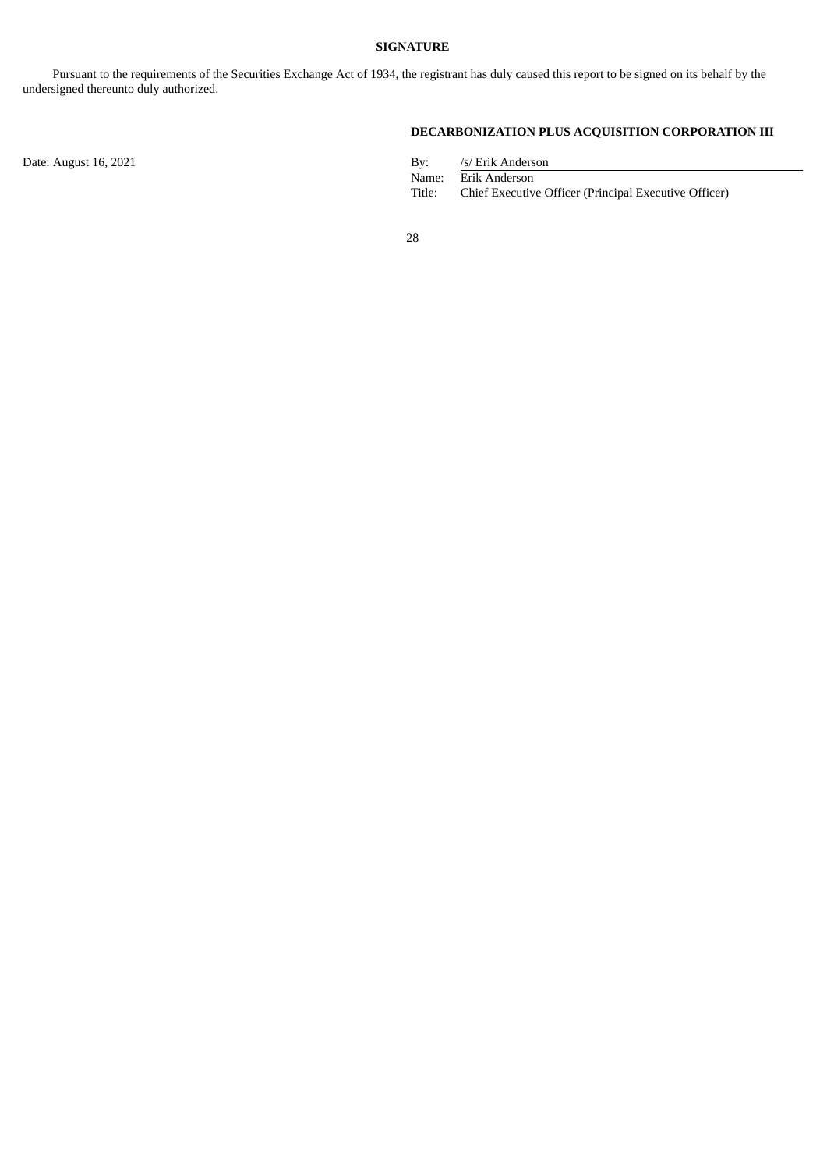<span id="page-28-0"></span>Pursuant to the requirements of the Securities Exchange Act of 1934, the registrant has duly caused this report to be signed on its behalf by the undersigned thereunto duly authorized.

## **DECARBONIZATION PLUS ACQUISITION CORPORATION III**

Date: August 16, 2021 By: /s/ Erik Anderson Name: /s/ Erik Anderson Name: /s/ Erik Anderson Name: Erik Anderson<br>Title: Chief Executiv Chief Executive Officer (Principal Executive Officer)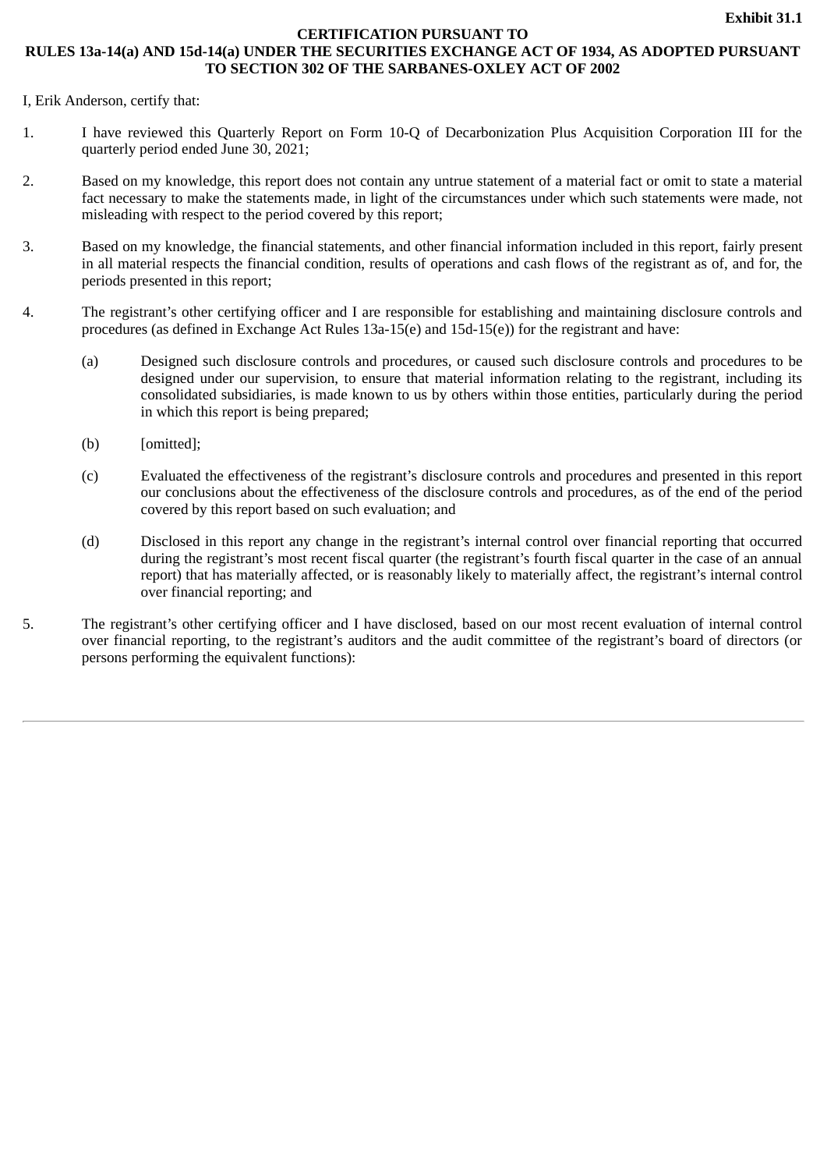## **CERTIFICATION PURSUANT TO**

## <span id="page-29-0"></span>**RULES 13a-14(a) AND 15d-14(a) UNDER THE SECURITIES EXCHANGE ACT OF 1934, AS ADOPTED PURSUANT TO SECTION 302 OF THE SARBANES-OXLEY ACT OF 2002**

I, Erik Anderson, certify that:

- 1. I have reviewed this Quarterly Report on Form 10-Q of Decarbonization Plus Acquisition Corporation III for the quarterly period ended June 30, 2021;
- 2. Based on my knowledge, this report does not contain any untrue statement of a material fact or omit to state a material fact necessary to make the statements made, in light of the circumstances under which such statements were made, not misleading with respect to the period covered by this report;
- 3. Based on my knowledge, the financial statements, and other financial information included in this report, fairly present in all material respects the financial condition, results of operations and cash flows of the registrant as of, and for, the periods presented in this report;
- 4. The registrant's other certifying officer and I are responsible for establishing and maintaining disclosure controls and procedures (as defined in Exchange Act Rules 13a-15(e) and 15d-15(e)) for the registrant and have:
	- (a) Designed such disclosure controls and procedures, or caused such disclosure controls and procedures to be designed under our supervision, to ensure that material information relating to the registrant, including its consolidated subsidiaries, is made known to us by others within those entities, particularly during the period in which this report is being prepared;
	- (b) [omitted];
	- (c) Evaluated the effectiveness of the registrant's disclosure controls and procedures and presented in this report our conclusions about the effectiveness of the disclosure controls and procedures, as of the end of the period covered by this report based on such evaluation; and
	- (d) Disclosed in this report any change in the registrant's internal control over financial reporting that occurred during the registrant's most recent fiscal quarter (the registrant's fourth fiscal quarter in the case of an annual report) that has materially affected, or is reasonably likely to materially affect, the registrant's internal control over financial reporting; and
- 5. The registrant's other certifying officer and I have disclosed, based on our most recent evaluation of internal control over financial reporting, to the registrant's auditors and the audit committee of the registrant's board of directors (or persons performing the equivalent functions):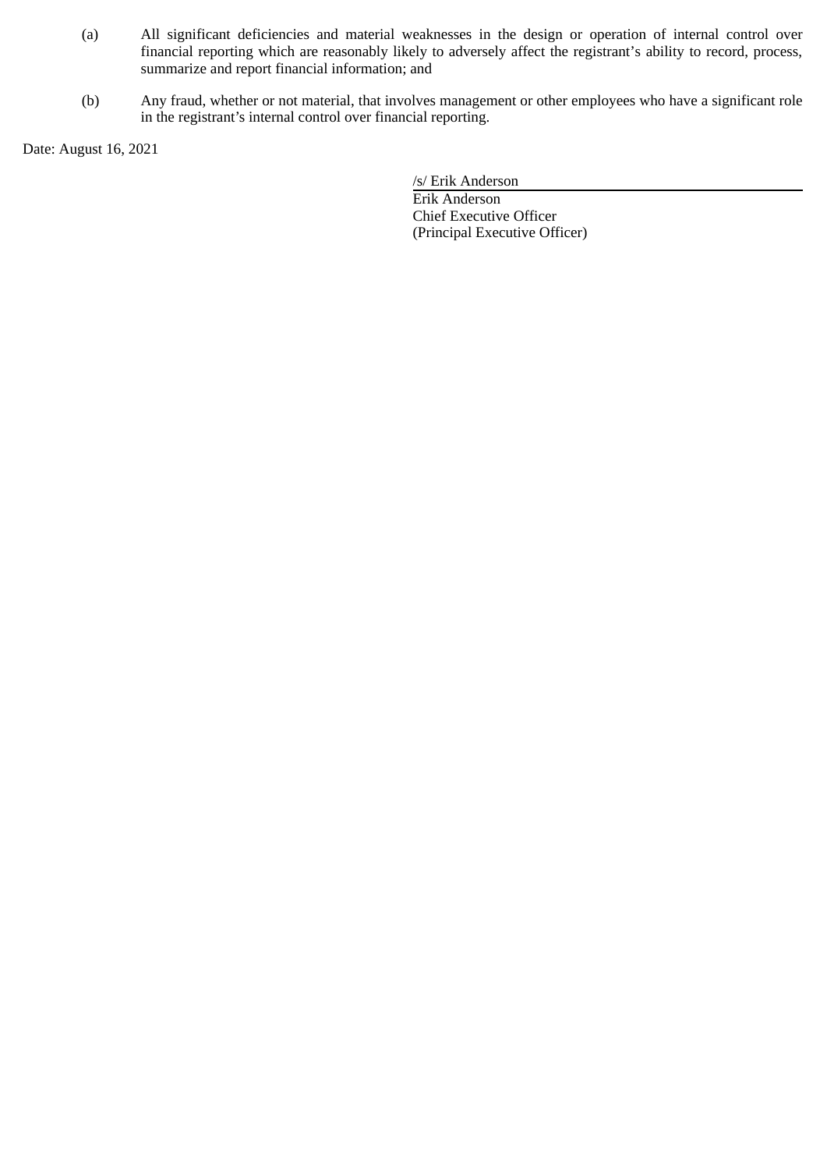- (a) All significant deficiencies and material weaknesses in the design or operation of internal control over financial reporting which are reasonably likely to adversely affect the registrant's ability to record, process, summarize and report financial information; and
- (b) Any fraud, whether or not material, that involves management or other employees who have a significant role in the registrant's internal control over financial reporting.

Date: August 16, 2021

/s/ Erik Anderson

Erik Anderson Chief Executive Officer (Principal Executive Officer)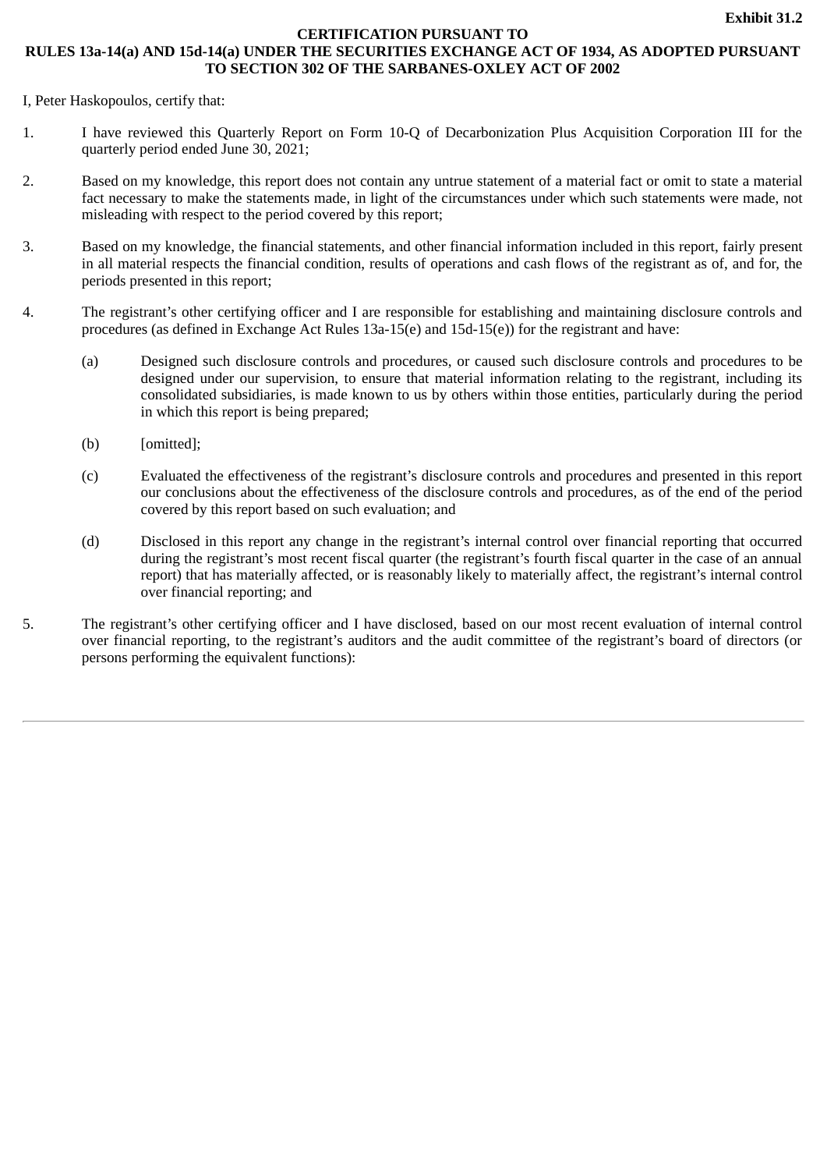## **CERTIFICATION PURSUANT TO**

## <span id="page-31-0"></span>**RULES 13a-14(a) AND 15d-14(a) UNDER THE SECURITIES EXCHANGE ACT OF 1934, AS ADOPTED PURSUANT TO SECTION 302 OF THE SARBANES-OXLEY ACT OF 2002**

I, Peter Haskopoulos, certify that:

- 1. I have reviewed this Quarterly Report on Form 10-Q of Decarbonization Plus Acquisition Corporation III for the quarterly period ended June 30, 2021;
- 2. Based on my knowledge, this report does not contain any untrue statement of a material fact or omit to state a material fact necessary to make the statements made, in light of the circumstances under which such statements were made, not misleading with respect to the period covered by this report;
- 3. Based on my knowledge, the financial statements, and other financial information included in this report, fairly present in all material respects the financial condition, results of operations and cash flows of the registrant as of, and for, the periods presented in this report;
- 4. The registrant's other certifying officer and I are responsible for establishing and maintaining disclosure controls and procedures (as defined in Exchange Act Rules 13a-15(e) and 15d-15(e)) for the registrant and have:
	- (a) Designed such disclosure controls and procedures, or caused such disclosure controls and procedures to be designed under our supervision, to ensure that material information relating to the registrant, including its consolidated subsidiaries, is made known to us by others within those entities, particularly during the period in which this report is being prepared;
	- (b) [omitted];
	- (c) Evaluated the effectiveness of the registrant's disclosure controls and procedures and presented in this report our conclusions about the effectiveness of the disclosure controls and procedures, as of the end of the period covered by this report based on such evaluation; and
	- (d) Disclosed in this report any change in the registrant's internal control over financial reporting that occurred during the registrant's most recent fiscal quarter (the registrant's fourth fiscal quarter in the case of an annual report) that has materially affected, or is reasonably likely to materially affect, the registrant's internal control over financial reporting; and
- 5. The registrant's other certifying officer and I have disclosed, based on our most recent evaluation of internal control over financial reporting, to the registrant's auditors and the audit committee of the registrant's board of directors (or persons performing the equivalent functions):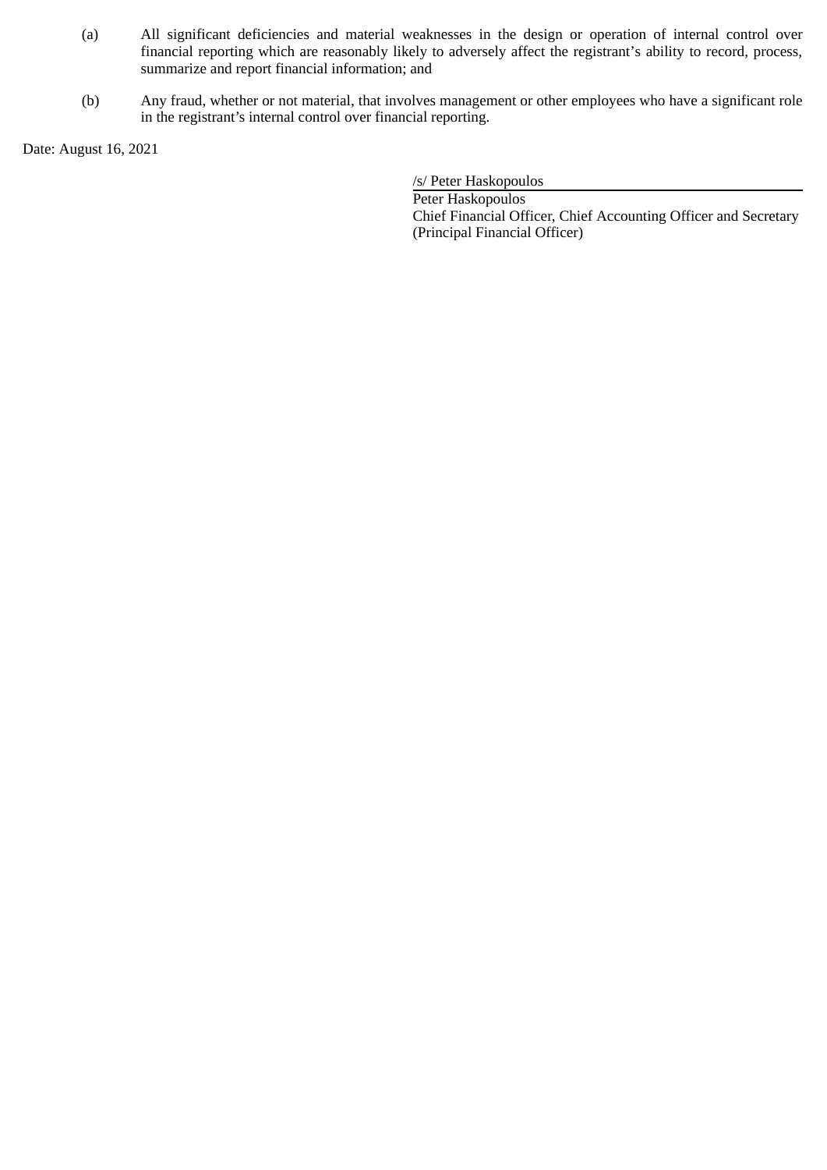- (a) All significant deficiencies and material weaknesses in the design or operation of internal control over financial reporting which are reasonably likely to adversely affect the registrant's ability to record, process, summarize and report financial information; and
- (b) Any fraud, whether or not material, that involves management or other employees who have a significant role in the registrant's internal control over financial reporting.

Date: August 16, 2021

/s/ Peter Haskopoulos

Peter Haskopoulos Chief Financial Officer, Chief Accounting Officer and Secretary (Principal Financial Officer)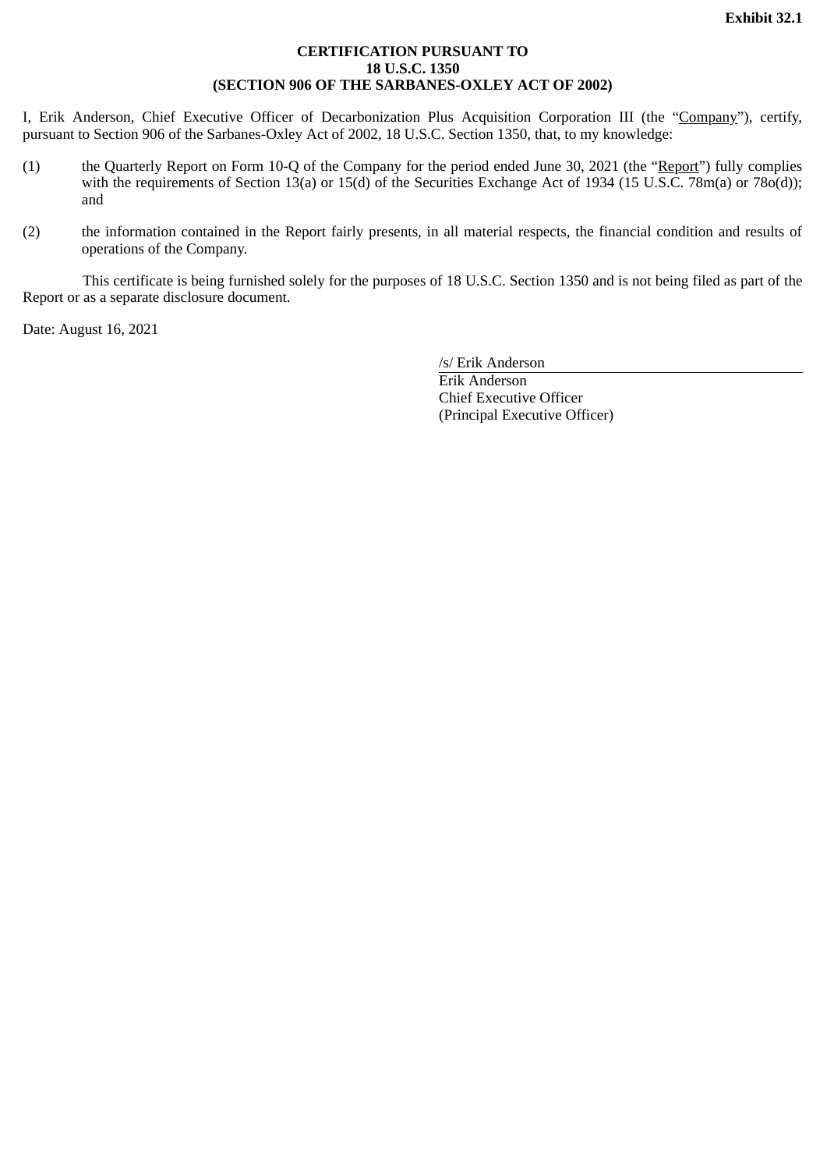## **CERTIFICATION PURSUANT TO 18 U.S.C. 1350 (SECTION 906 OF THE SARBANES-OXLEY ACT OF 2002)**

<span id="page-33-0"></span>I, Erik Anderson, Chief Executive Officer of Decarbonization Plus Acquisition Corporation III (the "Company"), certify, pursuant to Section 906 of the Sarbanes-Oxley Act of 2002, 18 U.S.C. Section 1350, that, to my knowledge:

- (1) the Quarterly Report on Form 10-Q of the Company for the period ended June 30, 2021 (the "Report") fully complies with the requirements of Section 13(a) or 15(d) of the Securities Exchange Act of 1934 (15 U.S.C. 78m(a) or 78o(d)); and
- (2) the information contained in the Report fairly presents, in all material respects, the financial condition and results of operations of the Company.

This certificate is being furnished solely for the purposes of 18 U.S.C. Section 1350 and is not being filed as part of the Report or as a separate disclosure document.

Date: August 16, 2021

/s/ Erik Anderson

Erik Anderson Chief Executive Officer (Principal Executive Officer)